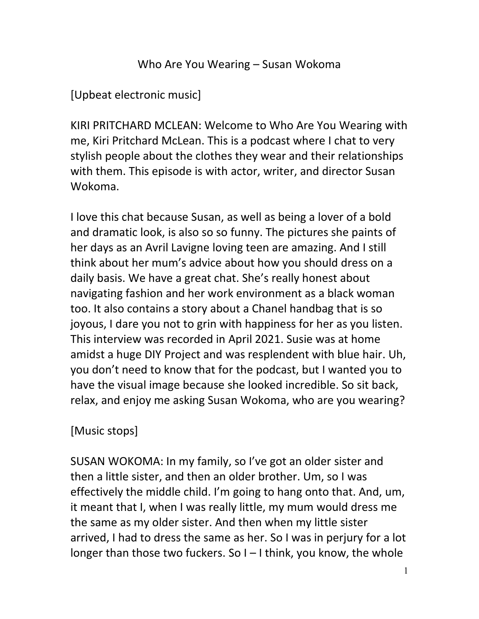## Who Are You Wearing – Susan Wokoma

[Upbeat electronic music]

KIRI PRITCHARD MCLEAN: Welcome to Who Are You Wearing with me, Kiri Pritchard McLean. This is a podcast where I chat to very stylish people about the clothes they wear and their relationships with them. This episode is with actor, writer, and director Susan Wokoma.

I love this chat because Susan, as well as being a lover of a bold and dramatic look, is also so so funny. The pictures she paints of her days as an Avril Lavigne loving teen are amazing. And I still think about her mum's advice about how you should dress on a daily basis. We have a great chat. She's really honest about navigating fashion and her work environment as a black woman too. It also contains a story about a Chanel handbag that is so joyous, I dare you not to grin with happiness for her as you listen. This interview was recorded in April 2021. Susie was at home amidst a huge DIY Project and was resplendent with blue hair. Uh, you don't need to know that for the podcast, but I wanted you to have the visual image because she looked incredible. So sit back, relax, and enjoy me asking Susan Wokoma, who are you wearing?

## [Music stops]

SUSAN WOKOMA: In my family, so I've got an older sister and then a little sister, and then an older brother. Um, so I was effectively the middle child. I'm going to hang onto that. And, um, it meant that I, when I was really little, my mum would dress me the same as my older sister. And then when my little sister arrived, I had to dress the same as her. So I was in perjury for a lot longer than those two fuckers. So I – I think, you know, the whole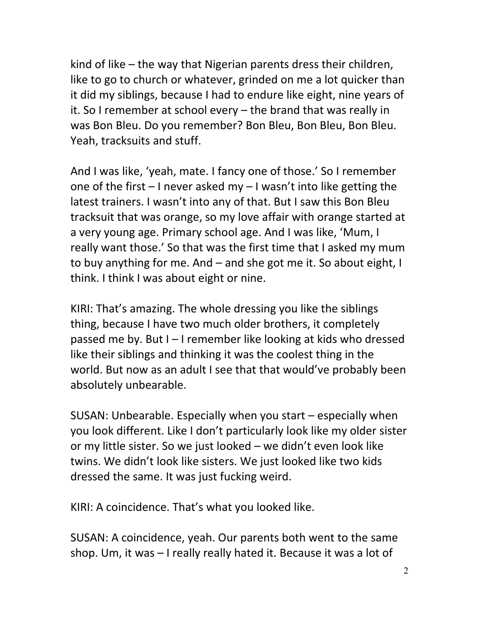kind of like – the way that Nigerian parents dress their children, like to go to church or whatever, grinded on me a lot quicker than it did my siblings, because I had to endure like eight, nine years of it. So I remember at school every – the brand that was really in was Bon Bleu. Do you remember? Bon Bleu, Bon Bleu, Bon Bleu. Yeah, tracksuits and stuff.

And I was like, 'yeah, mate. I fancy one of those.' So I remember one of the first – I never asked my – I wasn't into like getting the latest trainers. I wasn't into any of that. But I saw this Bon Bleu tracksuit that was orange, so my love affair with orange started at a very young age. Primary school age. And I was like, 'Mum, I really want those.' So that was the first time that I asked my mum to buy anything for me. And – and she got me it. So about eight, I think. I think I was about eight or nine.

KIRI: That's amazing. The whole dressing you like the siblings thing, because I have two much older brothers, it completely passed me by. But I – I remember like looking at kids who dressed like their siblings and thinking it was the coolest thing in the world. But now as an adult I see that that would've probably been absolutely unbearable.

SUSAN: Unbearable. Especially when you start – especially when you look different. Like I don't particularly look like my older sister or my little sister. So we just looked – we didn't even look like twins. We didn't look like sisters. We just looked like two kids dressed the same. It was just fucking weird.

KIRI: A coincidence. That's what you looked like.

SUSAN: A coincidence, yeah. Our parents both went to the same shop. Um, it was – I really really hated it. Because it was a lot of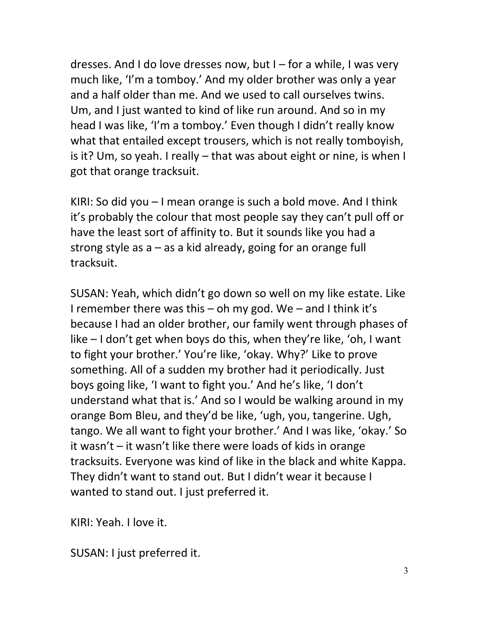dresses. And I do love dresses now, but I – for a while, I was very much like, 'I'm a tomboy.' And my older brother was only a year and a half older than me. And we used to call ourselves twins. Um, and I just wanted to kind of like run around. And so in my head I was like, 'I'm a tomboy.' Even though I didn't really know what that entailed except trousers, which is not really tomboyish, is it? Um, so yeah. I really – that was about eight or nine, is when I got that orange tracksuit.

KIRI: So did you – I mean orange is such a bold move. And I think it's probably the colour that most people say they can't pull off or have the least sort of affinity to. But it sounds like you had a strong style as a – as a kid already, going for an orange full tracksuit.

SUSAN: Yeah, which didn't go down so well on my like estate. Like I remember there was this  $-$  oh my god. We  $-$  and I think it's because I had an older brother, our family went through phases of like – I don't get when boys do this, when they're like, 'oh, I want to fight your brother.' You're like, 'okay. Why?' Like to prove something. All of a sudden my brother had it periodically. Just boys going like, 'I want to fight you.' And he's like, 'I don't understand what that is.' And so I would be walking around in my orange Bom Bleu, and they'd be like, 'ugh, you, tangerine. Ugh, tango. We all want to fight your brother.' And I was like, 'okay.' So it wasn't – it wasn't like there were loads of kids in orange tracksuits. Everyone was kind of like in the black and white Kappa. They didn't want to stand out. But I didn't wear it because I wanted to stand out. I just preferred it.

KIRI: Yeah. I love it.

SUSAN: I just preferred it.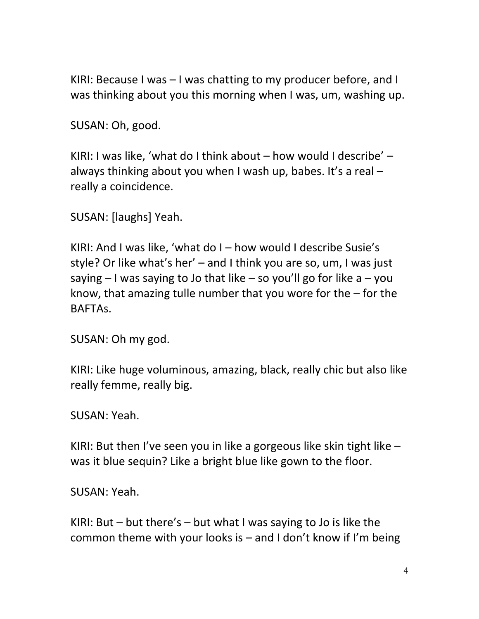KIRI: Because I was – I was chatting to my producer before, and I was thinking about you this morning when I was, um, washing up.

SUSAN: Oh, good.

KIRI: I was like, 'what do I think about – how would I describe' – always thinking about you when I wash up, babes. It's a real  $$ really a coincidence.

SUSAN: [laughs] Yeah.

KIRI: And I was like, 'what do I – how would I describe Susie's style? Or like what's her' – and I think you are so, um, I was just saying  $-1$  was saying to Jo that like – so you'll go for like a – you know, that amazing tulle number that you wore for the – for the BAFTAs.

SUSAN: Oh my god.

KIRI: Like huge voluminous, amazing, black, really chic but also like really femme, really big.

SUSAN: Yeah.

KIRI: But then I've seen you in like a gorgeous like skin tight like – was it blue sequin? Like a bright blue like gown to the floor.

SUSAN: Yeah.

KIRI: But – but there's – but what I was saying to Jo is like the common theme with your looks is – and I don't know if I'm being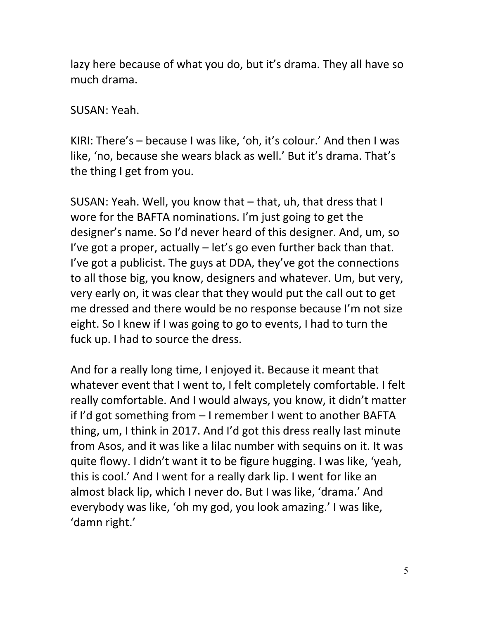lazy here because of what you do, but it's drama. They all have so much drama.

SUSAN: Yeah.

KIRI: There's – because I was like, 'oh, it's colour.' And then I was like, 'no, because she wears black as well.' But it's drama. That's the thing I get from you.

SUSAN: Yeah. Well, you know that – that, uh, that dress that I wore for the BAFTA nominations. I'm just going to get the designer's name. So I'd never heard of this designer. And, um, so I've got a proper, actually – let's go even further back than that. I've got a publicist. The guys at DDA, they've got the connections to all those big, you know, designers and whatever. Um, but very, very early on, it was clear that they would put the call out to get me dressed and there would be no response because I'm not size eight. So I knew if I was going to go to events, I had to turn the fuck up. I had to source the dress.

And for a really long time, I enjoyed it. Because it meant that whatever event that I went to, I felt completely comfortable. I felt really comfortable. And I would always, you know, it didn't matter if I'd got something from – I remember I went to another BAFTA thing, um, I think in 2017. And I'd got this dress really last minute from Asos, and it was like a lilac number with sequins on it. It was quite flowy. I didn't want it to be figure hugging. I was like, 'yeah, this is cool.' And I went for a really dark lip. I went for like an almost black lip, which I never do. But I was like, 'drama.' And everybody was like, 'oh my god, you look amazing.' I was like, 'damn right.'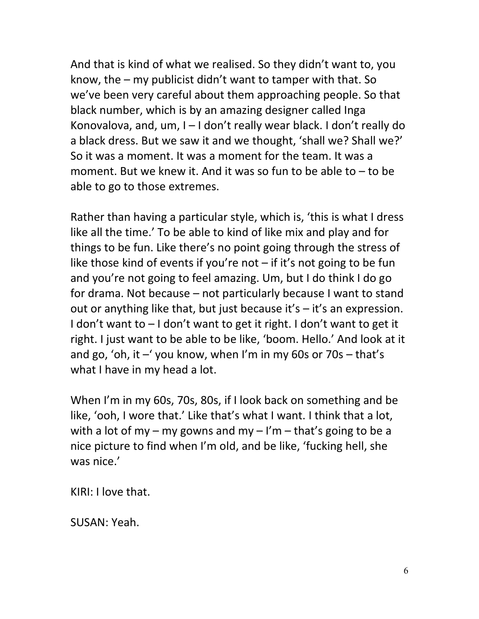And that is kind of what we realised. So they didn't want to, you know, the – my publicist didn't want to tamper with that. So we've been very careful about them approaching people. So that black number, which is by an amazing designer called Inga Konovalova, and, um, I – I don't really wear black. I don't really do a black dress. But we saw it and we thought, 'shall we? Shall we?' So it was a moment. It was a moment for the team. It was a moment. But we knew it. And it was so fun to be able to – to be able to go to those extremes.

Rather than having a particular style, which is, 'this is what I dress like all the time.' To be able to kind of like mix and play and for things to be fun. Like there's no point going through the stress of like those kind of events if you're not  $-$  if it's not going to be fun and you're not going to feel amazing. Um, but I do think I do go for drama. Not because – not particularly because I want to stand out or anything like that, but just because it's – it's an expression. I don't want to – I don't want to get it right. I don't want to get it right. I just want to be able to be like, 'boom. Hello.' And look at it and go, 'oh, it –' you know, when I'm in my 60s or 70s – that's what I have in my head a lot.

When I'm in my 60s, 70s, 80s, if I look back on something and be like, 'ooh, I wore that.' Like that's what I want. I think that a lot, with a lot of my – my gowns and my – I'm – that's going to be a nice picture to find when I'm old, and be like, 'fucking hell, she was nice.'

KIRI: I love that.

SUSAN: Yeah.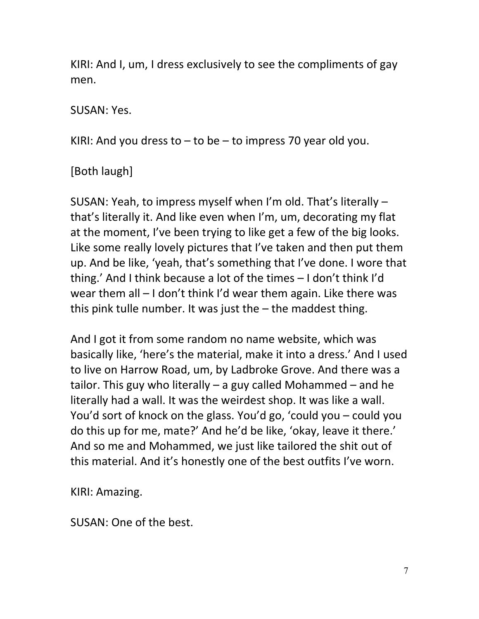KIRI: And I, um, I dress exclusively to see the compliments of gay men.

#### SUSAN: Yes.

KIRI: And you dress to  $-$  to be  $-$  to impress 70 year old you.

# [Both laugh]

SUSAN: Yeah, to impress myself when I'm old. That's literally – that's literally it. And like even when I'm, um, decorating my flat at the moment, I've been trying to like get a few of the big looks. Like some really lovely pictures that I've taken and then put them up. And be like, 'yeah, that's something that I've done. I wore that thing.' And I think because a lot of the times – I don't think I'd wear them all – I don't think I'd wear them again. Like there was this pink tulle number. It was just the – the maddest thing.

And I got it from some random no name website, which was basically like, 'here's the material, make it into a dress.' And I used to live on Harrow Road, um, by Ladbroke Grove. And there was a tailor. This guy who literally – a guy called Mohammed – and he literally had a wall. It was the weirdest shop. It was like a wall. You'd sort of knock on the glass. You'd go, 'could you – could you do this up for me, mate?' And he'd be like, 'okay, leave it there.' And so me and Mohammed, we just like tailored the shit out of this material. And it's honestly one of the best outfits I've worn.

KIRI: Amazing.

SUSAN: One of the best.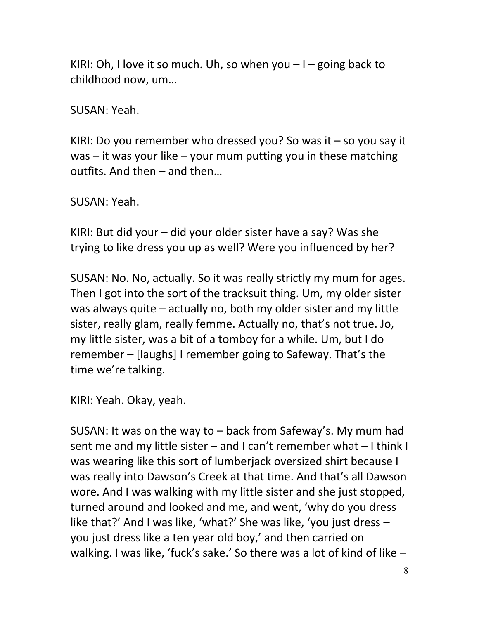KIRI: Oh, I love it so much. Uh, so when you  $-1$  – going back to childhood now, um…

SUSAN: Yeah.

KIRI: Do you remember who dressed you? So was it  $-$  so you say it was – it was your like – your mum putting you in these matching outfits. And then – and then…

SUSAN: Yeah.

KIRI: But did your – did your older sister have a say? Was she trying to like dress you up as well? Were you influenced by her?

SUSAN: No. No, actually. So it was really strictly my mum for ages. Then I got into the sort of the tracksuit thing. Um, my older sister was always quite – actually no, both my older sister and my little sister, really glam, really femme. Actually no, that's not true. Jo, my little sister, was a bit of a tomboy for a while. Um, but I do remember – [laughs] I remember going to Safeway. That's the time we're talking.

KIRI: Yeah. Okay, yeah.

SUSAN: It was on the way to – back from Safeway's. My mum had sent me and my little sister – and I can't remember what – I think I was wearing like this sort of lumberjack oversized shirt because I was really into Dawson's Creek at that time. And that's all Dawson wore. And I was walking with my little sister and she just stopped, turned around and looked and me, and went, 'why do you dress like that?' And I was like, 'what?' She was like, 'you just dress – you just dress like a ten year old boy,' and then carried on walking. I was like, 'fuck's sake.' So there was a lot of kind of like –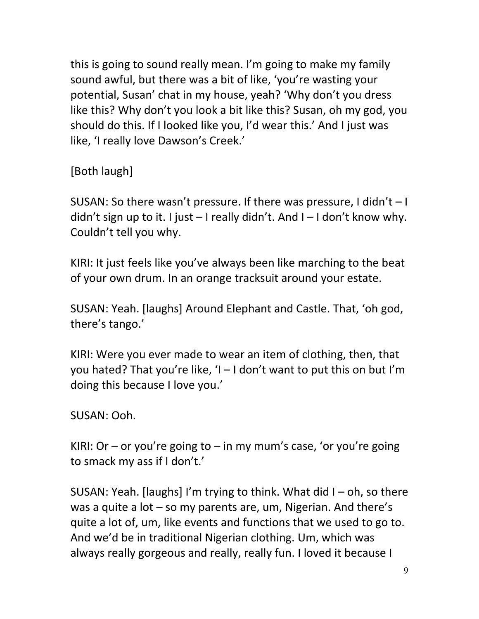this is going to sound really mean. I'm going to make my family sound awful, but there was a bit of like, 'you're wasting your potential, Susan' chat in my house, yeah? 'Why don't you dress like this? Why don't you look a bit like this? Susan, oh my god, you should do this. If I looked like you, I'd wear this.' And I just was like, 'I really love Dawson's Creek.'

[Both laugh]

SUSAN: So there wasn't pressure. If there was pressure, I didn't – I didn't sign up to it. I just – I really didn't. And I – I don't know why. Couldn't tell you why.

KIRI: It just feels like you've always been like marching to the beat of your own drum. In an orange tracksuit around your estate.

SUSAN: Yeah. [laughs] Around Elephant and Castle. That, 'oh god, there's tango.'

KIRI: Were you ever made to wear an item of clothing, then, that you hated? That you're like, 'I – I don't want to put this on but I'm doing this because I love you.'

SUSAN: Ooh.

KIRI: Or – or you're going to – in my mum's case, 'or you're going to smack my ass if I don't.'

SUSAN: Yeah. [laughs] I'm trying to think. What did I – oh, so there was a quite a lot – so my parents are, um, Nigerian. And there's quite a lot of, um, like events and functions that we used to go to. And we'd be in traditional Nigerian clothing. Um, which was always really gorgeous and really, really fun. I loved it because I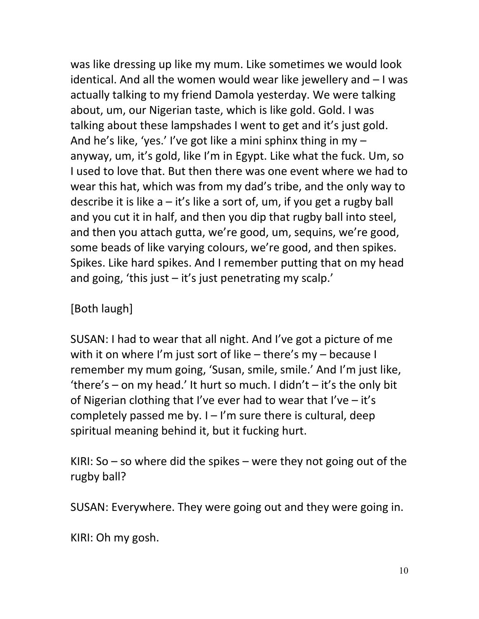was like dressing up like my mum. Like sometimes we would look identical. And all the women would wear like jewellery and – I was actually talking to my friend Damola yesterday. We were talking about, um, our Nigerian taste, which is like gold. Gold. I was talking about these lampshades I went to get and it's just gold. And he's like, 'yes.' I've got like a mini sphinx thing in my – anyway, um, it's gold, like I'm in Egypt. Like what the fuck. Um, so I used to love that. But then there was one event where we had to wear this hat, which was from my dad's tribe, and the only way to describe it is like  $a - it's$  like a sort of, um, if you get a rugby ball and you cut it in half, and then you dip that rugby ball into steel, and then you attach gutta, we're good, um, sequins, we're good, some beads of like varying colours, we're good, and then spikes. Spikes. Like hard spikes. And I remember putting that on my head and going, 'this just  $-$  it's just penetrating my scalp.'

## [Both laugh]

SUSAN: I had to wear that all night. And I've got a picture of me with it on where I'm just sort of like – there's my – because I remember my mum going, 'Susan, smile, smile.' And I'm just like, 'there's – on my head.' It hurt so much. I didn't – it's the only bit of Nigerian clothing that I've ever had to wear that I've – it's completely passed me by.  $I - I'm$  sure there is cultural, deep spiritual meaning behind it, but it fucking hurt.

KIRI: So – so where did the spikes – were they not going out of the rugby ball?

SUSAN: Everywhere. They were going out and they were going in.

KIRI: Oh my gosh.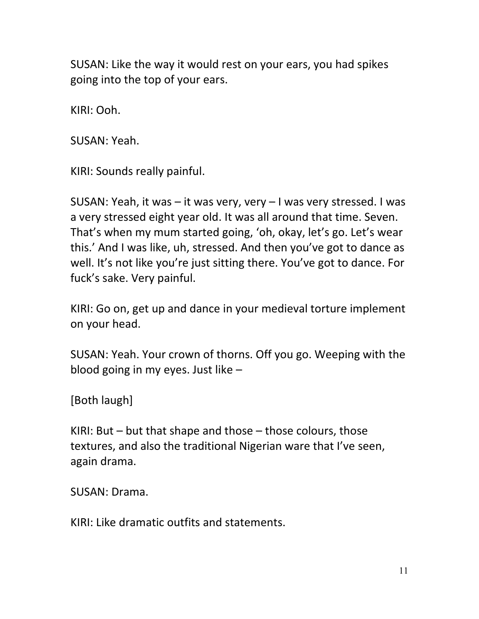SUSAN: Like the way it would rest on your ears, you had spikes going into the top of your ears.

KIRI: Ooh.

SUSAN: Yeah.

KIRI: Sounds really painful.

SUSAN: Yeah, it was – it was very, very – I was very stressed. I was a very stressed eight year old. It was all around that time. Seven. That's when my mum started going, 'oh, okay, let's go. Let's wear this.' And I was like, uh, stressed. And then you've got to dance as well. It's not like you're just sitting there. You've got to dance. For fuck's sake. Very painful.

KIRI: Go on, get up and dance in your medieval torture implement on your head.

SUSAN: Yeah. Your crown of thorns. Off you go. Weeping with the blood going in my eyes. Just like –

[Both laugh]

KIRI: But – but that shape and those – those colours, those textures, and also the traditional Nigerian ware that I've seen, again drama.

SUSAN: Drama.

KIRI: Like dramatic outfits and statements.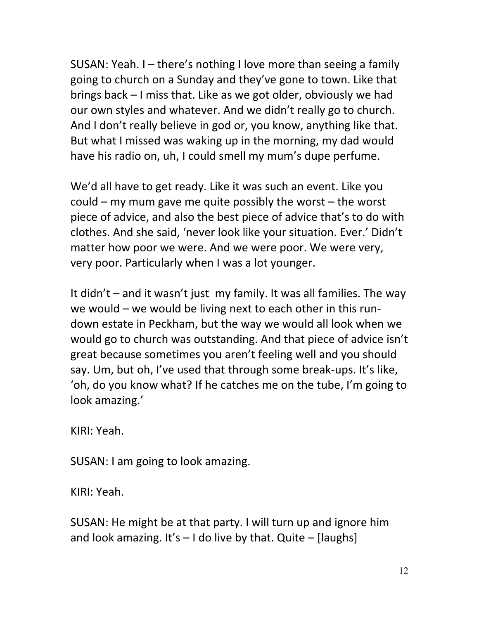SUSAN: Yeah. I – there's nothing I love more than seeing a family going to church on a Sunday and they've gone to town. Like that brings back – I miss that. Like as we got older, obviously we had our own styles and whatever. And we didn't really go to church. And I don't really believe in god or, you know, anything like that. But what I missed was waking up in the morning, my dad would have his radio on, uh, I could smell my mum's dupe perfume.

We'd all have to get ready. Like it was such an event. Like you could – my mum gave me quite possibly the worst – the worst piece of advice, and also the best piece of advice that's to do with clothes. And she said, 'never look like your situation. Ever.' Didn't matter how poor we were. And we were poor. We were very, very poor. Particularly when I was a lot younger.

It didn't – and it wasn't just my family. It was all families. The way we would – we would be living next to each other in this rundown estate in Peckham, but the way we would all look when we would go to church was outstanding. And that piece of advice isn't great because sometimes you aren't feeling well and you should say. Um, but oh, I've used that through some break-ups. It's like, 'oh, do you know what? If he catches me on the tube, I'm going to look amazing.'

KIRI: Yeah.

SUSAN: I am going to look amazing.

KIRI: Yeah.

SUSAN: He might be at that party. I will turn up and ignore him and look amazing. It's  $-1$  do live by that. Quite  $-$  [laughs]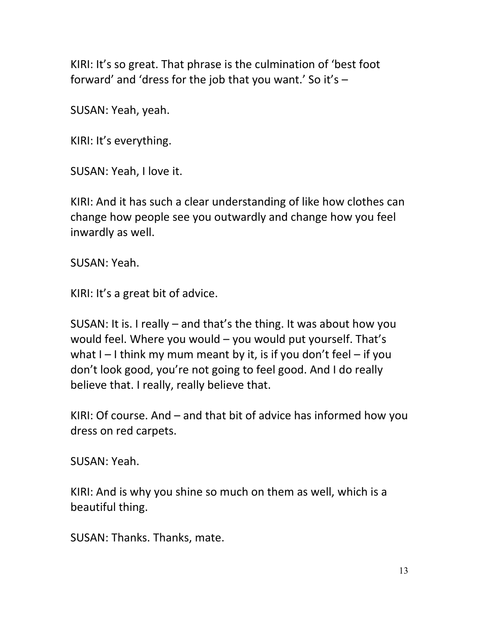KIRI: It's so great. That phrase is the culmination of 'best foot forward' and 'dress for the job that you want.' So it's  $-$ 

SUSAN: Yeah, yeah.

KIRI: It's everything.

SUSAN: Yeah, I love it.

KIRI: And it has such a clear understanding of like how clothes can change how people see you outwardly and change how you feel inwardly as well.

SUSAN: Yeah.

KIRI: It's a great bit of advice.

SUSAN: It is. I really – and that's the thing. It was about how you would feel. Where you would – you would put yourself. That's what  $I - I$  think my mum meant by it, is if you don't feel – if you don't look good, you're not going to feel good. And I do really believe that. I really, really believe that.

KIRI: Of course. And – and that bit of advice has informed how you dress on red carpets.

SUSAN: Yeah.

KIRI: And is why you shine so much on them as well, which is a beautiful thing.

SUSAN: Thanks. Thanks, mate.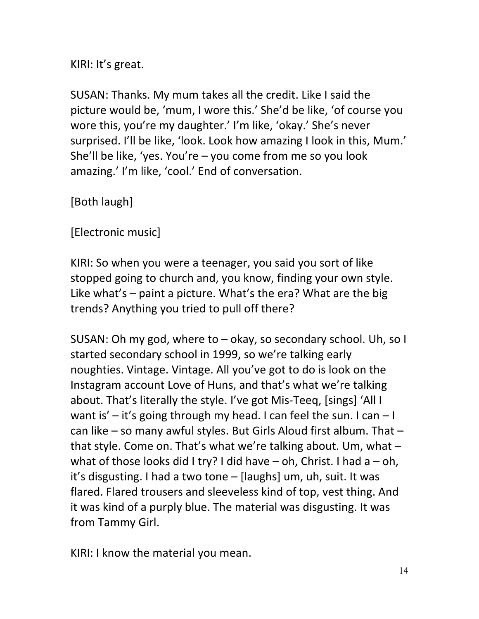KIRI: It's great.

SUSAN: Thanks. My mum takes all the credit. Like I said the picture would be, 'mum, I wore this.' She'd be like, 'of course you wore this, you're my daughter.' I'm like, 'okay.' She's never surprised. I'll be like, 'look. Look how amazing I look in this, Mum.' She'll be like, 'yes. You're – you come from me so you look amazing.' I'm like, 'cool.' End of conversation.

[Both laugh]

[Electronic music]

KIRI: So when you were a teenager, you said you sort of like stopped going to church and, you know, finding your own style. Like what's – paint a picture. What's the era? What are the big trends? Anything you tried to pull off there?

SUSAN: Oh my god, where to – okay, so secondary school. Uh, so I started secondary school in 1999, so we're talking early noughties. Vintage. Vintage. All you've got to do is look on the Instagram account Love of Huns, and that's what we're talking about. That's literally the style. I've got Mis-Teeq, [sings] 'All I want is' – it's going through my head. I can feel the sun. I can  $-1$ can like – so many awful styles. But Girls Aloud first album. That – that style. Come on. That's what we're talking about. Um, what – what of those looks did I try? I did have  $-$  oh, Christ. I had a  $-$  oh, it's disgusting. I had a two tone – [laughs] um, uh, suit. It was flared. Flared trousers and sleeveless kind of top, vest thing. And it was kind of a purply blue. The material was disgusting. It was from Tammy Girl.

KIRI: I know the material you mean.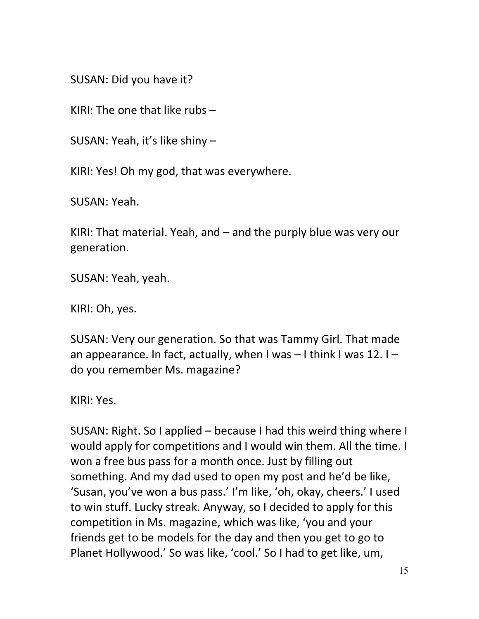SUSAN: Did you have it?

KIRI: The one that like rubs –

SUSAN: Yeah, it's like shiny –

KIRI: Yes! Oh my god, that was everywhere.

SUSAN: Yeah.

KIRI: That material. Yeah, and – and the purply blue was very our generation.

SUSAN: Yeah, yeah.

KIRI: Oh, yes.

SUSAN: Very our generation. So that was Tammy Girl. That made an appearance. In fact, actually, when I was  $-1$  think I was 12. I – do you remember Ms. magazine?

KIRI: Yes.

SUSAN: Right. So I applied – because I had this weird thing where I would apply for competitions and I would win them. All the time. I won a free bus pass for a month once. Just by filling out something. And my dad used to open my post and he'd be like, 'Susan, you've won a bus pass.' I'm like, 'oh, okay, cheers.' I used to win stuff. Lucky streak. Anyway, so I decided to apply for this competition in Ms. magazine, which was like, 'you and your friends get to be models for the day and then you get to go to Planet Hollywood.' So was like, 'cool.' So I had to get like, um,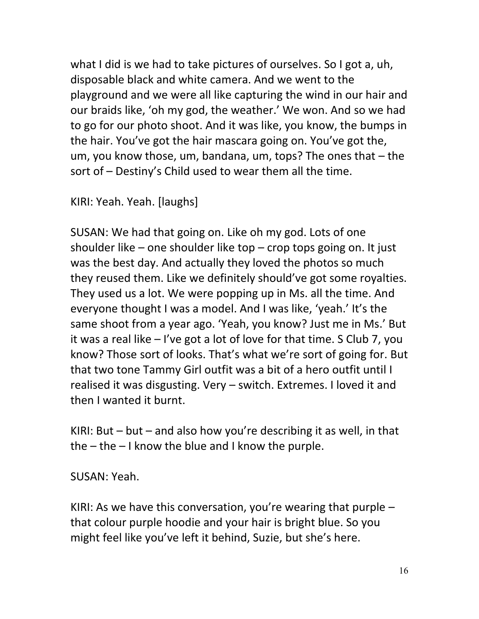what I did is we had to take pictures of ourselves. So I got a, uh, disposable black and white camera. And we went to the playground and we were all like capturing the wind in our hair and our braids like, 'oh my god, the weather.' We won. And so we had to go for our photo shoot. And it was like, you know, the bumps in the hair. You've got the hair mascara going on. You've got the, um, you know those, um, bandana, um, tops? The ones that – the sort of – Destiny's Child used to wear them all the time.

KIRI: Yeah. Yeah. [laughs]

SUSAN: We had that going on. Like oh my god. Lots of one shoulder like – one shoulder like top – crop tops going on. It just was the best day. And actually they loved the photos so much they reused them. Like we definitely should've got some royalties. They used us a lot. We were popping up in Ms. all the time. And everyone thought I was a model. And I was like, 'yeah.' It's the same shoot from a year ago. 'Yeah, you know? Just me in Ms.' But it was a real like – I've got a lot of love for that time. S Club 7, you know? Those sort of looks. That's what we're sort of going for. But that two tone Tammy Girl outfit was a bit of a hero outfit until I realised it was disgusting. Very – switch. Extremes. I loved it and then I wanted it burnt.

KIRI: But  $-$  but  $-$  and also how you're describing it as well, in that the  $-$  the  $-$  I know the blue and I know the purple.

SUSAN: Yeah.

KIRI: As we have this conversation, you're wearing that purple  $$ that colour purple hoodie and your hair is bright blue. So you might feel like you've left it behind, Suzie, but she's here.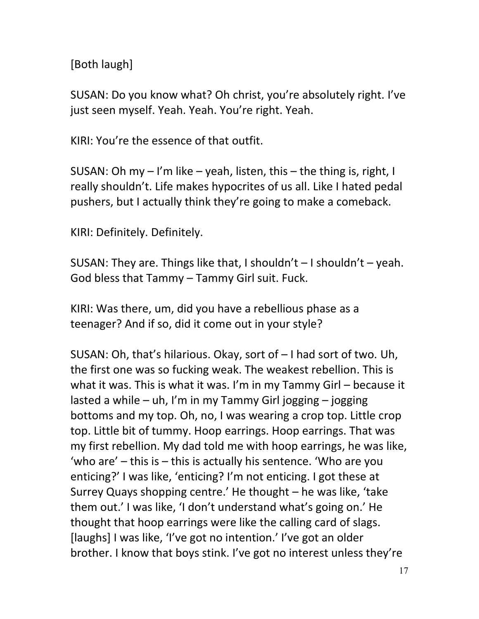[Both laugh]

SUSAN: Do you know what? Oh christ, you're absolutely right. I've just seen myself. Yeah. Yeah. You're right. Yeah.

KIRI: You're the essence of that outfit.

SUSAN: Oh my – I'm like – yeah, listen, this – the thing is, right, I really shouldn't. Life makes hypocrites of us all. Like I hated pedal pushers, but I actually think they're going to make a comeback.

KIRI: Definitely. Definitely.

SUSAN: They are. Things like that, I shouldn't  $-$  I shouldn't  $-$  yeah. God bless that Tammy – Tammy Girl suit. Fuck.

KIRI: Was there, um, did you have a rebellious phase as a teenager? And if so, did it come out in your style?

SUSAN: Oh, that's hilarious. Okay, sort of – I had sort of two. Uh, the first one was so fucking weak. The weakest rebellion. This is what it was. This is what it was. I'm in my Tammy Girl – because it lasted a while – uh, I'm in my Tammy Girl jogging – jogging bottoms and my top. Oh, no, I was wearing a crop top. Little crop top. Little bit of tummy. Hoop earrings. Hoop earrings. That was my first rebellion. My dad told me with hoop earrings, he was like, 'who are' – this is – this is actually his sentence. 'Who are you enticing?' I was like, 'enticing? I'm not enticing. I got these at Surrey Quays shopping centre.' He thought – he was like, 'take them out.' I was like, 'I don't understand what's going on.' He thought that hoop earrings were like the calling card of slags. [laughs] I was like, 'I've got no intention.' I've got an older brother. I know that boys stink. I've got no interest unless they're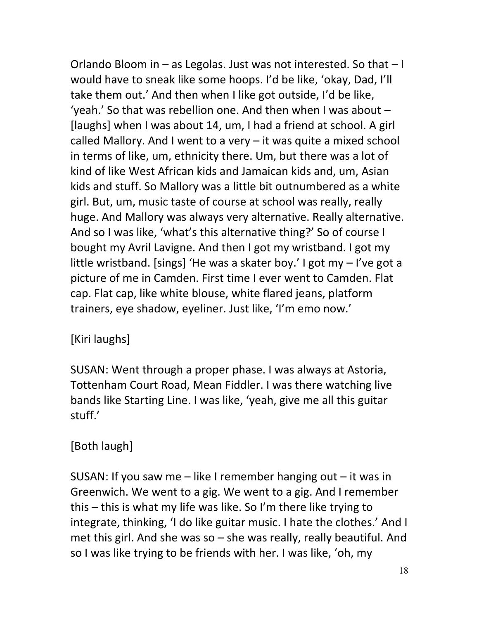Orlando Bloom in – as Legolas. Just was not interested. So that – I would have to sneak like some hoops. I'd be like, 'okay, Dad, I'll take them out.' And then when I like got outside, I'd be like, 'yeah.' So that was rebellion one. And then when I was about – [laughs] when I was about 14, um, I had a friend at school. A girl called Mallory. And I went to a very – it was quite a mixed school in terms of like, um, ethnicity there. Um, but there was a lot of kind of like West African kids and Jamaican kids and, um, Asian kids and stuff. So Mallory was a little bit outnumbered as a white girl. But, um, music taste of course at school was really, really huge. And Mallory was always very alternative. Really alternative. And so I was like, 'what's this alternative thing?' So of course I bought my Avril Lavigne. And then I got my wristband. I got my little wristband. [sings] 'He was a skater boy.' I got my – I've got a picture of me in Camden. First time I ever went to Camden. Flat cap. Flat cap, like white blouse, white flared jeans, platform trainers, eye shadow, eyeliner. Just like, 'I'm emo now.'

# [Kiri laughs]

SUSAN: Went through a proper phase. I was always at Astoria, Tottenham Court Road, Mean Fiddler. I was there watching live bands like Starting Line. I was like, 'yeah, give me all this guitar stuff.'

## [Both laugh]

SUSAN: If you saw me  $-$  like I remember hanging out  $-$  it was in Greenwich. We went to a gig. We went to a gig. And I remember this – this is what my life was like. So I'm there like trying to integrate, thinking, 'I do like guitar music. I hate the clothes.' And I met this girl. And she was so – she was really, really beautiful. And so I was like trying to be friends with her. I was like, 'oh, my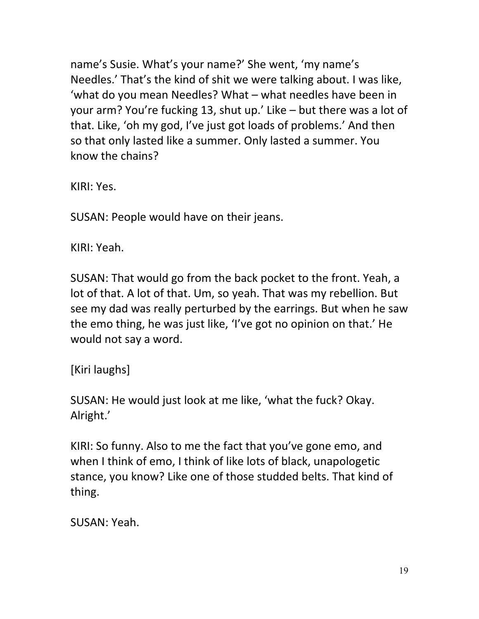name's Susie. What's your name?' She went, 'my name's Needles.' That's the kind of shit we were talking about. I was like, 'what do you mean Needles? What – what needles have been in your arm? You're fucking 13, shut up.' Like – but there was a lot of that. Like, 'oh my god, I've just got loads of problems.' And then so that only lasted like a summer. Only lasted a summer. You know the chains?

KIRI: Yes.

SUSAN: People would have on their jeans.

KIRI: Yeah.

SUSAN: That would go from the back pocket to the front. Yeah, a lot of that. A lot of that. Um, so yeah. That was my rebellion. But see my dad was really perturbed by the earrings. But when he saw the emo thing, he was just like, 'I've got no opinion on that.' He would not say a word.

[Kiri laughs]

SUSAN: He would just look at me like, 'what the fuck? Okay. Alright.'

KIRI: So funny. Also to me the fact that you've gone emo, and when I think of emo, I think of like lots of black, unapologetic stance, you know? Like one of those studded belts. That kind of thing.

SUSAN: Yeah.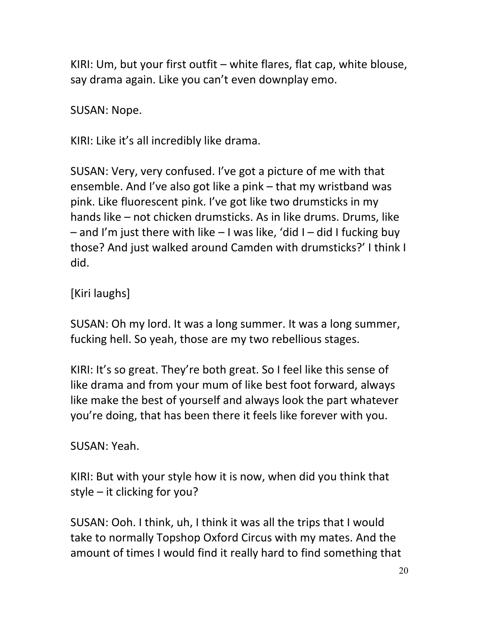KIRI: Um, but your first outfit – white flares, flat cap, white blouse, say drama again. Like you can't even downplay emo.

SUSAN: Nope.

KIRI: Like it's all incredibly like drama.

SUSAN: Very, very confused. I've got a picture of me with that ensemble. And I've also got like a pink – that my wristband was pink. Like fluorescent pink. I've got like two drumsticks in my hands like – not chicken drumsticks. As in like drums. Drums, like  $-$  and I'm just there with like  $-1$  was like, 'did I – did I fucking buy those? And just walked around Camden with drumsticks?' I think I did.

[Kiri laughs]

SUSAN: Oh my lord. It was a long summer. It was a long summer, fucking hell. So yeah, those are my two rebellious stages.

KIRI: It's so great. They're both great. So I feel like this sense of like drama and from your mum of like best foot forward, always like make the best of yourself and always look the part whatever you're doing, that has been there it feels like forever with you.

SUSAN: Yeah.

KIRI: But with your style how it is now, when did you think that style – it clicking for you?

SUSAN: Ooh. I think, uh, I think it was all the trips that I would take to normally Topshop Oxford Circus with my mates. And the amount of times I would find it really hard to find something that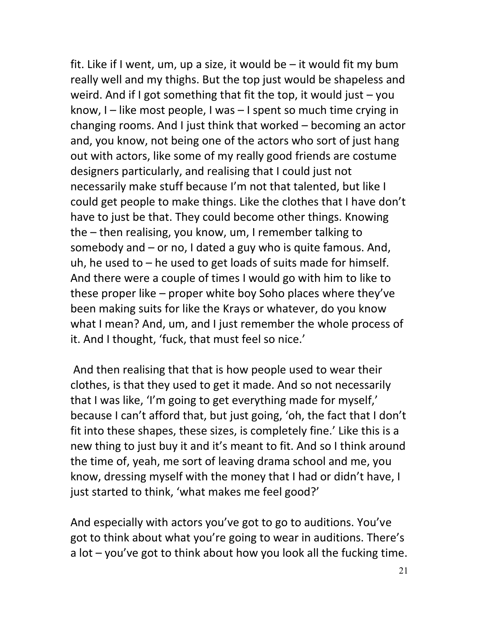fit. Like if I went, um, up a size, it would be  $-$  it would fit my bum really well and my thighs. But the top just would be shapeless and weird. And if I got something that fit the top, it would just  $-$  you know,  $I$  – like most people, I was – I spent so much time crying in changing rooms. And I just think that worked – becoming an actor and, you know, not being one of the actors who sort of just hang out with actors, like some of my really good friends are costume designers particularly, and realising that I could just not necessarily make stuff because I'm not that talented, but like I could get people to make things. Like the clothes that I have don't have to just be that. They could become other things. Knowing the – then realising, you know, um, I remember talking to somebody and – or no, I dated a guy who is quite famous. And, uh, he used to  $-$  he used to get loads of suits made for himself. And there were a couple of times I would go with him to like to these proper like – proper white boy Soho places where they've been making suits for like the Krays or whatever, do you know what I mean? And, um, and I just remember the whole process of it. And I thought, 'fuck, that must feel so nice.'

And then realising that that is how people used to wear their clothes, is that they used to get it made. And so not necessarily that I was like, 'I'm going to get everything made for myself,' because I can't afford that, but just going, 'oh, the fact that I don't fit into these shapes, these sizes, is completely fine.' Like this is a new thing to just buy it and it's meant to fit. And so I think around the time of, yeah, me sort of leaving drama school and me, you know, dressing myself with the money that I had or didn't have, I just started to think, 'what makes me feel good?'

And especially with actors you've got to go to auditions. You've got to think about what you're going to wear in auditions. There's a lot – you've got to think about how you look all the fucking time.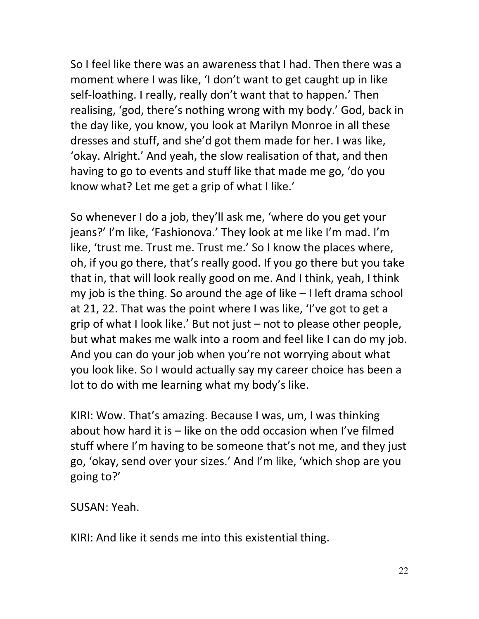So I feel like there was an awareness that I had. Then there was a moment where I was like, 'I don't want to get caught up in like self-loathing. I really, really don't want that to happen.' Then realising, 'god, there's nothing wrong with my body.' God, back in the day like, you know, you look at Marilyn Monroe in all these dresses and stuff, and she'd got them made for her. I was like, 'okay. Alright.' And yeah, the slow realisation of that, and then having to go to events and stuff like that made me go, 'do you know what? Let me get a grip of what I like.'

So whenever I do a job, they'll ask me, 'where do you get your jeans?' I'm like, 'Fashionova.' They look at me like I'm mad. I'm like, 'trust me. Trust me. Trust me.' So I know the places where, oh, if you go there, that's really good. If you go there but you take that in, that will look really good on me. And I think, yeah, I think my job is the thing. So around the age of like – I left drama school at 21, 22. That was the point where I was like, 'I've got to get a grip of what I look like.' But not just – not to please other people, but what makes me walk into a room and feel like I can do my job. And you can do your job when you're not worrying about what you look like. So I would actually say my career choice has been a lot to do with me learning what my body's like.

KIRI: Wow. That's amazing. Because I was, um, I was thinking about how hard it is – like on the odd occasion when I've filmed stuff where I'm having to be someone that's not me, and they just go, 'okay, send over your sizes.' And I'm like, 'which shop are you going to?'

SUSAN: Yeah.

KIRI: And like it sends me into this existential thing.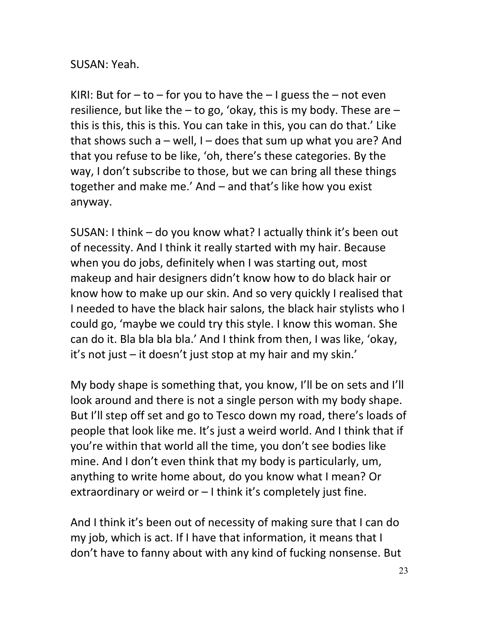## SUSAN: Yeah.

KIRI: But for  $-$  to  $-$  for you to have the  $-$  I guess the  $-$  not even resilience, but like the  $-$  to go, 'okay, this is my body. These are  $$ this is this, this is this. You can take in this, you can do that.' Like that shows such a – well,  $I -$  does that sum up what you are? And that you refuse to be like, 'oh, there's these categories. By the way, I don't subscribe to those, but we can bring all these things together and make me.' And – and that's like how you exist anyway.

SUSAN: I think – do you know what? I actually think it's been out of necessity. And I think it really started with my hair. Because when you do jobs, definitely when I was starting out, most makeup and hair designers didn't know how to do black hair or know how to make up our skin. And so very quickly I realised that I needed to have the black hair salons, the black hair stylists who I could go, 'maybe we could try this style. I know this woman. She can do it. Bla bla bla bla.' And I think from then, I was like, 'okay, it's not just – it doesn't just stop at my hair and my skin.'

My body shape is something that, you know, I'll be on sets and I'll look around and there is not a single person with my body shape. But I'll step off set and go to Tesco down my road, there's loads of people that look like me. It's just a weird world. And I think that if you're within that world all the time, you don't see bodies like mine. And I don't even think that my body is particularly, um, anything to write home about, do you know what I mean? Or extraordinary or weird or – I think it's completely just fine.

And I think it's been out of necessity of making sure that I can do my job, which is act. If I have that information, it means that I don't have to fanny about with any kind of fucking nonsense. But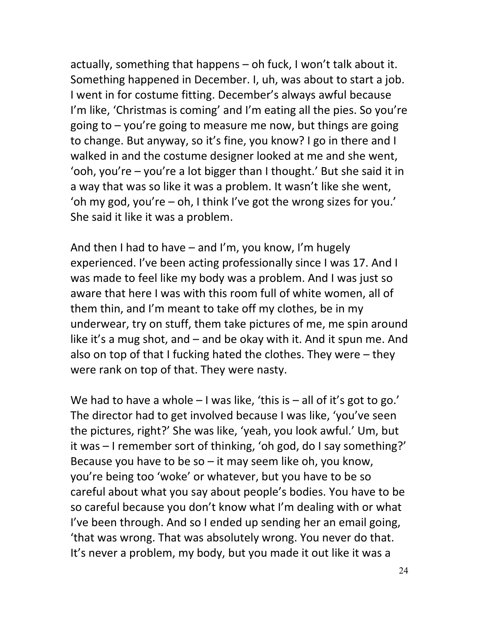actually, something that happens – oh fuck, I won't talk about it. Something happened in December. I, uh, was about to start a job. I went in for costume fitting. December's always awful because I'm like, 'Christmas is coming' and I'm eating all the pies. So you're going to – you're going to measure me now, but things are going to change. But anyway, so it's fine, you know? I go in there and I walked in and the costume designer looked at me and she went, 'ooh, you're – you're a lot bigger than I thought.' But she said it in a way that was so like it was a problem. It wasn't like she went, 'oh my god, you're – oh, I think I've got the wrong sizes for you.' She said it like it was a problem.

And then I had to have – and I'm, you know, I'm hugely experienced. I've been acting professionally since I was 17. And I was made to feel like my body was a problem. And I was just so aware that here I was with this room full of white women, all of them thin, and I'm meant to take off my clothes, be in my underwear, try on stuff, them take pictures of me, me spin around like it's a mug shot, and – and be okay with it. And it spun me. And also on top of that I fucking hated the clothes. They were – they were rank on top of that. They were nasty.

We had to have a whole  $-1$  was like, 'this is  $-$  all of it's got to go.' The director had to get involved because I was like, 'you've seen the pictures, right?' She was like, 'yeah, you look awful.' Um, but it was – I remember sort of thinking, 'oh god, do I say something?' Because you have to be so  $-$  it may seem like oh, you know, you're being too 'woke' or whatever, but you have to be so careful about what you say about people's bodies. You have to be so careful because you don't know what I'm dealing with or what I've been through. And so I ended up sending her an email going, 'that was wrong. That was absolutely wrong. You never do that. It's never a problem, my body, but you made it out like it was a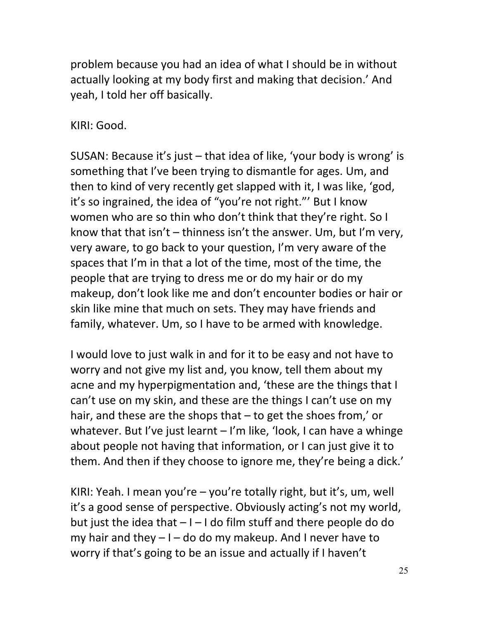problem because you had an idea of what I should be in without actually looking at my body first and making that decision.' And yeah, I told her off basically.

KIRI: Good.

SUSAN: Because it's just – that idea of like, 'your body is wrong' is something that I've been trying to dismantle for ages. Um, and then to kind of very recently get slapped with it, I was like, 'god, it's so ingrained, the idea of "you're not right."' But I know women who are so thin who don't think that they're right. So I know that that isn't – thinness isn't the answer. Um, but I'm very, very aware, to go back to your question, I'm very aware of the spaces that I'm in that a lot of the time, most of the time, the people that are trying to dress me or do my hair or do my makeup, don't look like me and don't encounter bodies or hair or skin like mine that much on sets. They may have friends and family, whatever. Um, so I have to be armed with knowledge.

I would love to just walk in and for it to be easy and not have to worry and not give my list and, you know, tell them about my acne and my hyperpigmentation and, 'these are the things that I can't use on my skin, and these are the things I can't use on my hair, and these are the shops that – to get the shoes from,' or whatever. But I've just learnt – I'm like, 'look, I can have a whinge about people not having that information, or I can just give it to them. And then if they choose to ignore me, they're being a dick.'

KIRI: Yeah. I mean you're – you're totally right, but it's, um, well it's a good sense of perspective. Obviously acting's not my world, but just the idea that  $-1$  – I do film stuff and there people do do my hair and they  $-1$  – do do my makeup. And I never have to worry if that's going to be an issue and actually if I haven't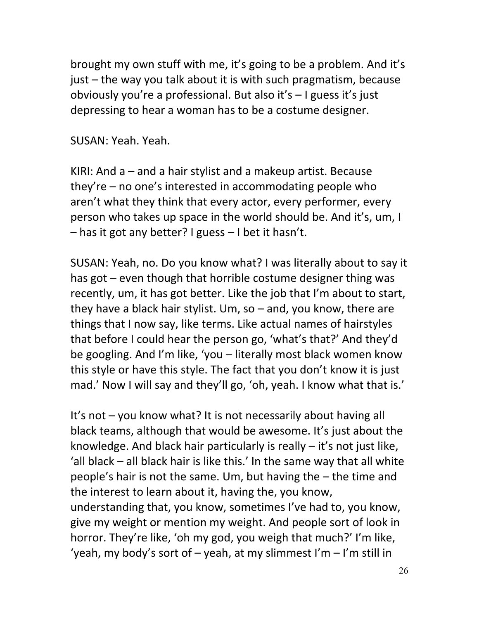brought my own stuff with me, it's going to be a problem. And it's just – the way you talk about it is with such pragmatism, because obviously you're a professional. But also it's – I guess it's just depressing to hear a woman has to be a costume designer.

SUSAN: Yeah. Yeah.

KIRI: And a – and a hair stylist and a makeup artist. Because they're – no one's interested in accommodating people who aren't what they think that every actor, every performer, every person who takes up space in the world should be. And it's, um, I – has it got any better? I guess – I bet it hasn't.

SUSAN: Yeah, no. Do you know what? I was literally about to say it has got – even though that horrible costume designer thing was recently, um, it has got better. Like the job that I'm about to start, they have a black hair stylist. Um, so – and, you know, there are things that I now say, like terms. Like actual names of hairstyles that before I could hear the person go, 'what's that?' And they'd be googling. And I'm like, 'you – literally most black women know this style or have this style. The fact that you don't know it is just mad.' Now I will say and they'll go, 'oh, yeah. I know what that is.'

It's not – you know what? It is not necessarily about having all black teams, although that would be awesome. It's just about the knowledge. And black hair particularly is really – it's not just like, 'all black – all black hair is like this.' In the same way that all white people's hair is not the same. Um, but having the – the time and the interest to learn about it, having the, you know, understanding that, you know, sometimes I've had to, you know, give my weight or mention my weight. And people sort of look in horror. They're like, 'oh my god, you weigh that much?' I'm like, 'yeah, my body's sort of  $-$  yeah, at my slimmest I'm  $-$  I'm still in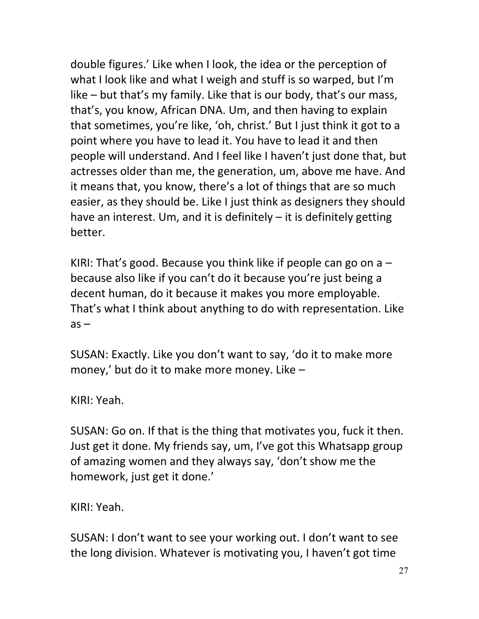double figures.' Like when I look, the idea or the perception of what I look like and what I weigh and stuff is so warped, but I'm like – but that's my family. Like that is our body, that's our mass, that's, you know, African DNA. Um, and then having to explain that sometimes, you're like, 'oh, christ.' But I just think it got to a point where you have to lead it. You have to lead it and then people will understand. And I feel like I haven't just done that, but actresses older than me, the generation, um, above me have. And it means that, you know, there's a lot of things that are so much easier, as they should be. Like I just think as designers they should have an interest. Um, and it is definitely – it is definitely getting better.

KIRI: That's good. Because you think like if people can go on  $a$ because also like if you can't do it because you're just being a decent human, do it because it makes you more employable. That's what I think about anything to do with representation. Like  $as -$ 

SUSAN: Exactly. Like you don't want to say, 'do it to make more money,' but do it to make more money. Like –

KIRI: Yeah.

SUSAN: Go on. If that is the thing that motivates you, fuck it then. Just get it done. My friends say, um, I've got this Whatsapp group of amazing women and they always say, 'don't show me the homework, just get it done.'

KIRI: Yeah.

SUSAN: I don't want to see your working out. I don't want to see the long division. Whatever is motivating you, I haven't got time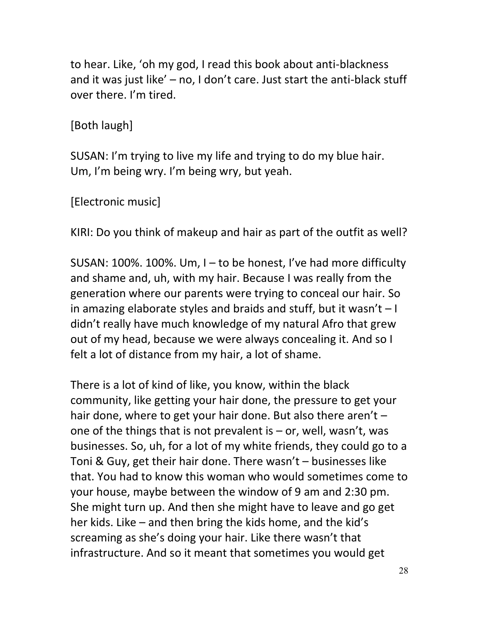to hear. Like, 'oh my god, I read this book about anti-blackness and it was just like' – no, I don't care. Just start the anti-black stuff over there. I'm tired.

[Both laugh]

SUSAN: I'm trying to live my life and trying to do my blue hair. Um, I'm being wry. I'm being wry, but yeah.

[Electronic music]

KIRI: Do you think of makeup and hair as part of the outfit as well?

SUSAN: 100%. 100%. Um, I – to be honest, I've had more difficulty and shame and, uh, with my hair. Because I was really from the generation where our parents were trying to conceal our hair. So in amazing elaborate styles and braids and stuff, but it wasn't  $-1$ didn't really have much knowledge of my natural Afro that grew out of my head, because we were always concealing it. And so I felt a lot of distance from my hair, a lot of shame.

There is a lot of kind of like, you know, within the black community, like getting your hair done, the pressure to get your hair done, where to get your hair done. But also there aren't one of the things that is not prevalent is  $-$  or, well, wasn't, was businesses. So, uh, for a lot of my white friends, they could go to a Toni & Guy, get their hair done. There wasn't – businesses like that. You had to know this woman who would sometimes come to your house, maybe between the window of 9 am and 2:30 pm. She might turn up. And then she might have to leave and go get her kids. Like – and then bring the kids home, and the kid's screaming as she's doing your hair. Like there wasn't that infrastructure. And so it meant that sometimes you would get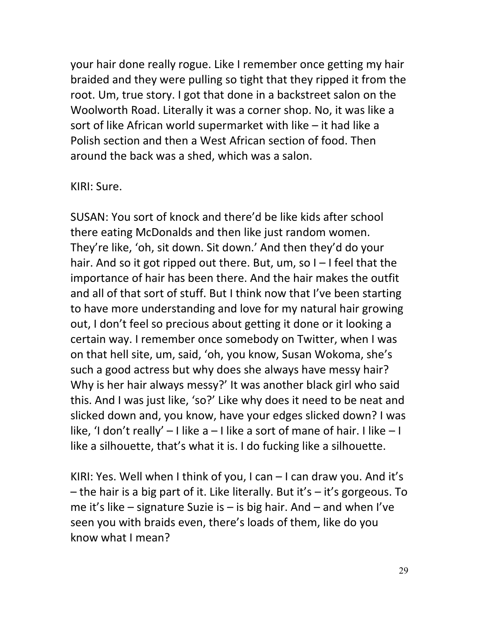your hair done really rogue. Like I remember once getting my hair braided and they were pulling so tight that they ripped it from the root. Um, true story. I got that done in a backstreet salon on the Woolworth Road. Literally it was a corner shop. No, it was like a sort of like African world supermarket with like – it had like a Polish section and then a West African section of food. Then around the back was a shed, which was a salon.

#### KIRI: Sure.

SUSAN: You sort of knock and there'd be like kids after school there eating McDonalds and then like just random women. They're like, 'oh, sit down. Sit down.' And then they'd do your hair. And so it got ripped out there. But, um, so I – I feel that the importance of hair has been there. And the hair makes the outfit and all of that sort of stuff. But I think now that I've been starting to have more understanding and love for my natural hair growing out, I don't feel so precious about getting it done or it looking a certain way. I remember once somebody on Twitter, when I was on that hell site, um, said, 'oh, you know, Susan Wokoma, she's such a good actress but why does she always have messy hair? Why is her hair always messy?' It was another black girl who said this. And I was just like, 'so?' Like why does it need to be neat and slicked down and, you know, have your edges slicked down? I was like, 'I don't really'  $-1$  like a  $-1$  like a sort of mane of hair. I like  $-1$ like a silhouette, that's what it is. I do fucking like a silhouette.

KIRI: Yes. Well when I think of you, I can – I can draw you. And it's – the hair is a big part of it. Like literally. But it's – it's gorgeous. To me it's like – signature Suzie is – is big hair. And – and when I've seen you with braids even, there's loads of them, like do you know what I mean?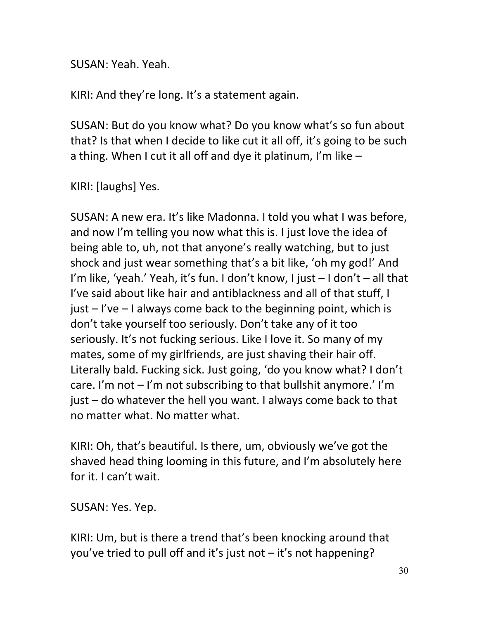SUSAN: Yeah. Yeah.

KIRI: And they're long. It's a statement again.

SUSAN: But do you know what? Do you know what's so fun about that? Is that when I decide to like cut it all off, it's going to be such a thing. When I cut it all off and dye it platinum, I'm like –

KIRI: [laughs] Yes.

SUSAN: A new era. It's like Madonna. I told you what I was before, and now I'm telling you now what this is. I just love the idea of being able to, uh, not that anyone's really watching, but to just shock and just wear something that's a bit like, 'oh my god!' And I'm like, 'yeah.' Yeah, it's fun. I don't know, I just – I don't – all that I've said about like hair and antiblackness and all of that stuff, I just – I've – I always come back to the beginning point, which is don't take yourself too seriously. Don't take any of it too seriously. It's not fucking serious. Like I love it. So many of my mates, some of my girlfriends, are just shaving their hair off. Literally bald. Fucking sick. Just going, 'do you know what? I don't care. I'm not – I'm not subscribing to that bullshit anymore.' I'm just – do whatever the hell you want. I always come back to that no matter what. No matter what.

KIRI: Oh, that's beautiful. Is there, um, obviously we've got the shaved head thing looming in this future, and I'm absolutely here for it. I can't wait.

SUSAN: Yes. Yep.

KIRI: Um, but is there a trend that's been knocking around that you've tried to pull off and it's just not – it's not happening?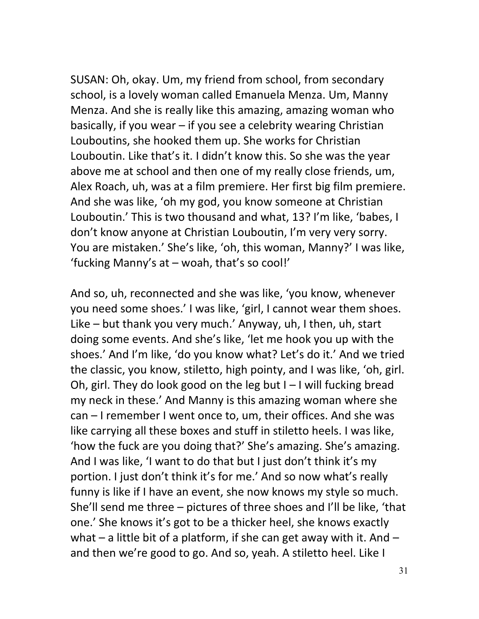SUSAN: Oh, okay. Um, my friend from school, from secondary school, is a lovely woman called Emanuela Menza. Um, Manny Menza. And she is really like this amazing, amazing woman who basically, if you wear – if you see a celebrity wearing Christian Louboutins, she hooked them up. She works for Christian Louboutin. Like that's it. I didn't know this. So she was the year above me at school and then one of my really close friends, um, Alex Roach, uh, was at a film premiere. Her first big film premiere. And she was like, 'oh my god, you know someone at Christian Louboutin.' This is two thousand and what, 13? I'm like, 'babes, I don't know anyone at Christian Louboutin, I'm very very sorry. You are mistaken.' She's like, 'oh, this woman, Manny?' I was like, 'fucking Manny's at – woah, that's so cool!'

And so, uh, reconnected and she was like, 'you know, whenever you need some shoes.' I was like, 'girl, I cannot wear them shoes. Like – but thank you very much.' Anyway, uh, I then, uh, start doing some events. And she's like, 'let me hook you up with the shoes.' And I'm like, 'do you know what? Let's do it.' And we tried the classic, you know, stiletto, high pointy, and I was like, 'oh, girl. Oh, girl. They do look good on the leg but  $I - I$  will fucking bread my neck in these.' And Manny is this amazing woman where she can – I remember I went once to, um, their offices. And she was like carrying all these boxes and stuff in stiletto heels. I was like, 'how the fuck are you doing that?' She's amazing. She's amazing. And I was like, 'I want to do that but I just don't think it's my portion. I just don't think it's for me.' And so now what's really funny is like if I have an event, she now knows my style so much. She'll send me three – pictures of three shoes and I'll be like, 'that one.' She knows it's got to be a thicker heel, she knows exactly what – a little bit of a platform, if she can get away with it. And – and then we're good to go. And so, yeah. A stiletto heel. Like I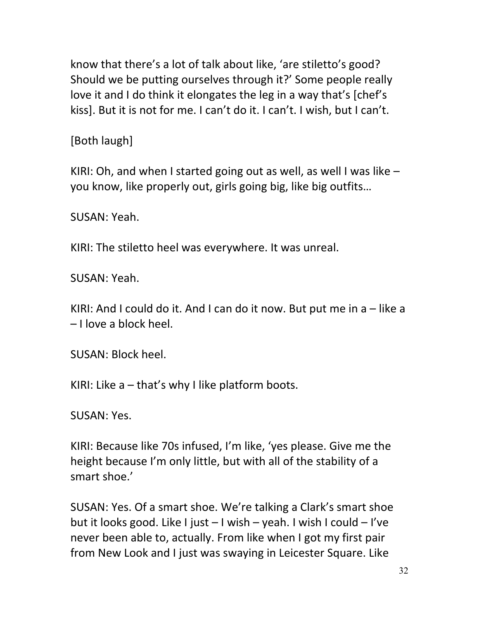know that there's a lot of talk about like, 'are stiletto's good? Should we be putting ourselves through it?' Some people really love it and I do think it elongates the leg in a way that's [chef's kiss]. But it is not for me. I can't do it. I can't. I wish, but I can't.

[Both laugh]

KIRI: Oh, and when I started going out as well, as well I was like – you know, like properly out, girls going big, like big outfits…

SUSAN: Yeah.

KIRI: The stiletto heel was everywhere. It was unreal.

SUSAN: Yeah.

KIRI: And I could do it. And I can do it now. But put me in a – like a – I love a block heel.

SUSAN: Block heel.

KIRI: Like  $a$  – that's why I like platform boots.

SUSAN: Yes.

KIRI: Because like 70s infused, I'm like, 'yes please. Give me the height because I'm only little, but with all of the stability of a smart shoe.'

SUSAN: Yes. Of a smart shoe. We're talking a Clark's smart shoe but it looks good. Like I just – I wish – yeah. I wish I could – I've never been able to, actually. From like when I got my first pair from New Look and I just was swaying in Leicester Square. Like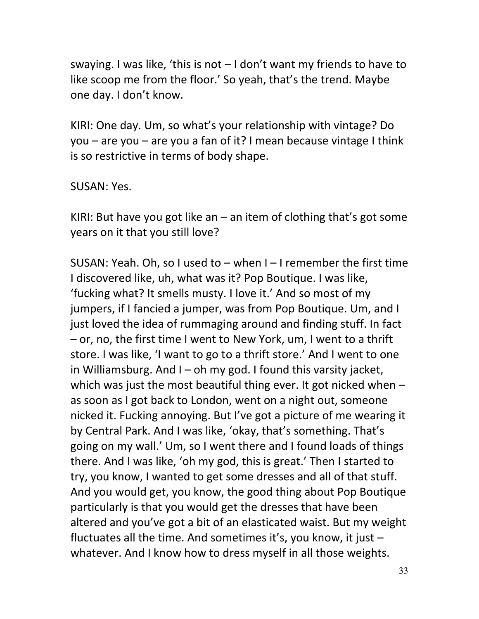swaying. I was like, 'this is not – I don't want my friends to have to like scoop me from the floor.' So yeah, that's the trend. Maybe one day. I don't know.

KIRI: One day. Um, so what's your relationship with vintage? Do you – are you – are you a fan of it? I mean because vintage I think is so restrictive in terms of body shape.

SUSAN: Yes.

KIRI: But have you got like an  $-$  an item of clothing that's got some years on it that you still love?

SUSAN: Yeah. Oh, so I used to – when I – I remember the first time I discovered like, uh, what was it? Pop Boutique. I was like, 'fucking what? It smells musty. I love it.' And so most of my jumpers, if I fancied a jumper, was from Pop Boutique. Um, and I just loved the idea of rummaging around and finding stuff. In fact – or, no, the first time I went to New York, um, I went to a thrift store. I was like, 'I want to go to a thrift store.' And I went to one in Williamsburg. And  $I - oh$  my god. I found this varsity jacket, which was just the most beautiful thing ever. It got nicked when  $$ as soon as I got back to London, went on a night out, someone nicked it. Fucking annoying. But I've got a picture of me wearing it by Central Park. And I was like, 'okay, that's something. That's going on my wall.' Um, so I went there and I found loads of things there. And I was like, 'oh my god, this is great.' Then I started to try, you know, I wanted to get some dresses and all of that stuff. And you would get, you know, the good thing about Pop Boutique particularly is that you would get the dresses that have been altered and you've got a bit of an elasticated waist. But my weight fluctuates all the time. And sometimes it's, you know, it just  $$ whatever. And I know how to dress myself in all those weights.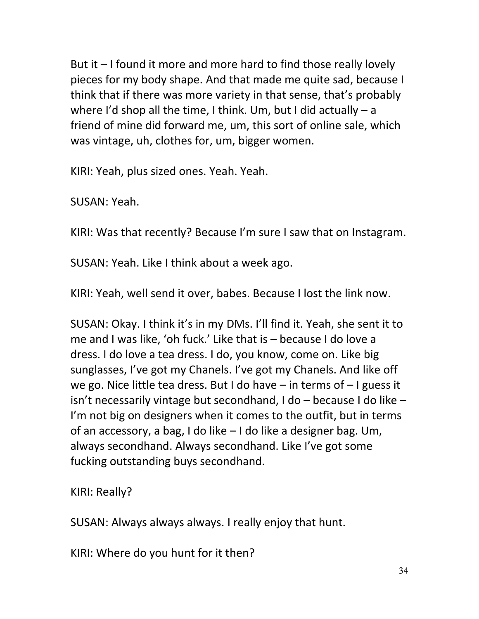But it – I found it more and more hard to find those really lovely pieces for my body shape. And that made me quite sad, because I think that if there was more variety in that sense, that's probably where I'd shop all the time, I think. Um, but I did actually – a friend of mine did forward me, um, this sort of online sale, which was vintage, uh, clothes for, um, bigger women.

KIRI: Yeah, plus sized ones. Yeah. Yeah.

SUSAN: Yeah.

KIRI: Was that recently? Because I'm sure I saw that on Instagram.

SUSAN: Yeah. Like I think about a week ago.

KIRI: Yeah, well send it over, babes. Because I lost the link now.

SUSAN: Okay. I think it's in my DMs. I'll find it. Yeah, she sent it to me and I was like, 'oh fuck.' Like that is – because I do love a dress. I do love a tea dress. I do, you know, come on. Like big sunglasses, I've got my Chanels. I've got my Chanels. And like off we go. Nice little tea dress. But I do have – in terms of – I guess it isn't necessarily vintage but secondhand, I do – because I do like – I'm not big on designers when it comes to the outfit, but in terms of an accessory, a bag, I do like – I do like a designer bag. Um, always secondhand. Always secondhand. Like I've got some fucking outstanding buys secondhand.

KIRI: Really?

SUSAN: Always always always. I really enjoy that hunt.

KIRI: Where do you hunt for it then?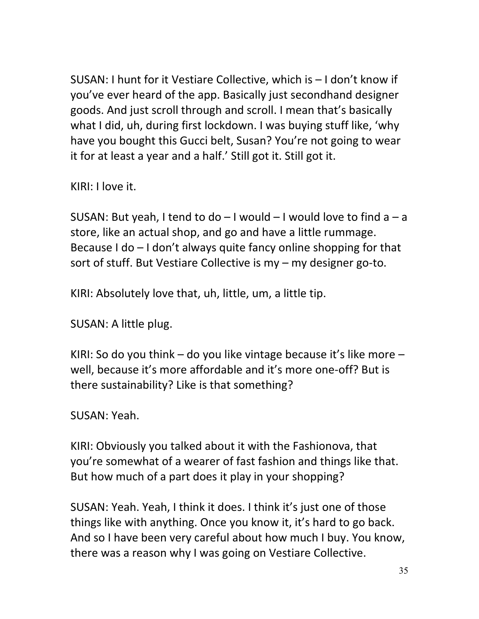SUSAN: I hunt for it Vestiare Collective, which is – I don't know if you've ever heard of the app. Basically just secondhand designer goods. And just scroll through and scroll. I mean that's basically what I did, uh, during first lockdown. I was buying stuff like, 'why have you bought this Gucci belt, Susan? You're not going to wear it for at least a year and a half.' Still got it. Still got it.

KIRI: I love it.

SUSAN: But yeah, I tend to  $do - I$  would  $- I$  would love to find  $a - a$ store, like an actual shop, and go and have a little rummage. Because I do – I don't always quite fancy online shopping for that sort of stuff. But Vestiare Collective is my – my designer go-to.

KIRI: Absolutely love that, uh, little, um, a little tip.

SUSAN: A little plug.

KIRI: So do you think – do you like vintage because it's like more – well, because it's more affordable and it's more one-off? But is there sustainability? Like is that something?

SUSAN: Yeah.

KIRI: Obviously you talked about it with the Fashionova, that you're somewhat of a wearer of fast fashion and things like that. But how much of a part does it play in your shopping?

SUSAN: Yeah. Yeah, I think it does. I think it's just one of those things like with anything. Once you know it, it's hard to go back. And so I have been very careful about how much I buy. You know, there was a reason why I was going on Vestiare Collective.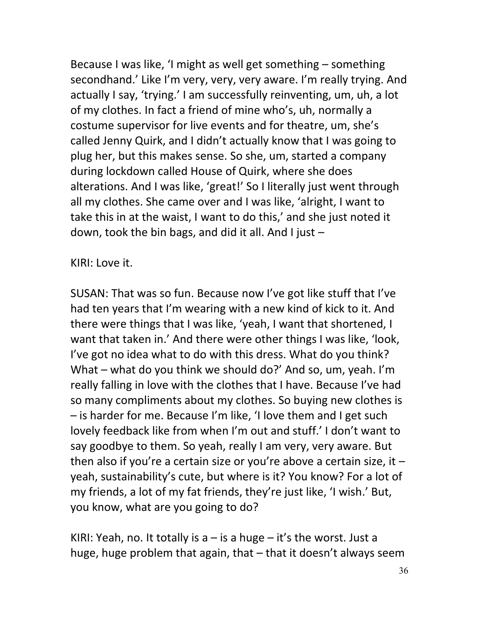Because I was like, 'I might as well get something – something secondhand.' Like I'm very, very, very aware. I'm really trying. And actually I say, 'trying.' I am successfully reinventing, um, uh, a lot of my clothes. In fact a friend of mine who's, uh, normally a costume supervisor for live events and for theatre, um, she's called Jenny Quirk, and I didn't actually know that I was going to plug her, but this makes sense. So she, um, started a company during lockdown called House of Quirk, where she does alterations. And I was like, 'great!' So I literally just went through all my clothes. She came over and I was like, 'alright, I want to take this in at the waist, I want to do this,' and she just noted it down, took the bin bags, and did it all. And I just  $-$ 

KIRI: Love it.

SUSAN: That was so fun. Because now I've got like stuff that I've had ten years that I'm wearing with a new kind of kick to it. And there were things that I was like, 'yeah, I want that shortened, I want that taken in.' And there were other things I was like, 'look, I've got no idea what to do with this dress. What do you think? What – what do you think we should do?' And so, um, yeah. I'm really falling in love with the clothes that I have. Because I've had so many compliments about my clothes. So buying new clothes is – is harder for me. Because I'm like, 'I love them and I get such lovely feedback like from when I'm out and stuff.' I don't want to say goodbye to them. So yeah, really I am very, very aware. But then also if you're a certain size or you're above a certain size, it  $$ yeah, sustainability's cute, but where is it? You know? For a lot of my friends, a lot of my fat friends, they're just like, 'I wish.' But, you know, what are you going to do?

KIRI: Yeah, no. It totally is  $a - is a huge - it's$  the worst. Just a huge, huge problem that again, that – that it doesn't always seem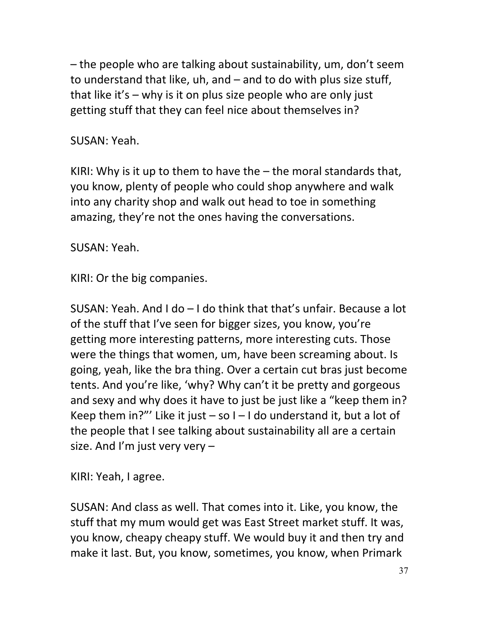– the people who are talking about sustainability, um, don't seem to understand that like, uh, and – and to do with plus size stuff, that like it's – why is it on plus size people who are only just getting stuff that they can feel nice about themselves in?

#### SUSAN: Yeah.

KIRI: Why is it up to them to have the  $-$  the moral standards that, you know, plenty of people who could shop anywhere and walk into any charity shop and walk out head to toe in something amazing, they're not the ones having the conversations.

SUSAN: Yeah.

KIRI: Or the big companies.

SUSAN: Yeah. And I do – I do think that that's unfair. Because a lot of the stuff that I've seen for bigger sizes, you know, you're getting more interesting patterns, more interesting cuts. Those were the things that women, um, have been screaming about. Is going, yeah, like the bra thing. Over a certain cut bras just become tents. And you're like, 'why? Why can't it be pretty and gorgeous and sexy and why does it have to just be just like a "keep them in? Keep them in?"' Like it just  $-$  so I  $-$  I do understand it, but a lot of the people that I see talking about sustainability all are a certain size. And I'm just very very  $-$ 

KIRI: Yeah, I agree.

SUSAN: And class as well. That comes into it. Like, you know, the stuff that my mum would get was East Street market stuff. It was, you know, cheapy cheapy stuff. We would buy it and then try and make it last. But, you know, sometimes, you know, when Primark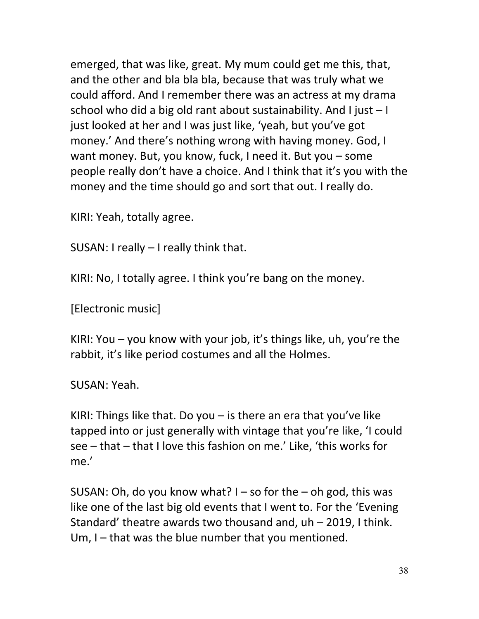emerged, that was like, great. My mum could get me this, that, and the other and bla bla bla, because that was truly what we could afford. And I remember there was an actress at my drama school who did a big old rant about sustainability. And I just – I just looked at her and I was just like, 'yeah, but you've got money.' And there's nothing wrong with having money. God, I want money. But, you know, fuck, I need it. But you – some people really don't have a choice. And I think that it's you with the money and the time should go and sort that out. I really do.

KIRI: Yeah, totally agree.

SUSAN: I really – I really think that.

KIRI: No, I totally agree. I think you're bang on the money.

[Electronic music]

KIRI: You – you know with your job, it's things like, uh, you're the rabbit, it's like period costumes and all the Holmes.

SUSAN: Yeah.

KIRI: Things like that. Do you  $-$  is there an era that you've like tapped into or just generally with vintage that you're like, 'I could see – that – that I love this fashion on me.' Like, 'this works for me.'

SUSAN: Oh, do you know what?  $I - so$  for the  $-$  oh god, this was like one of the last big old events that I went to. For the 'Evening Standard' theatre awards two thousand and, uh – 2019, I think. Um, I – that was the blue number that you mentioned.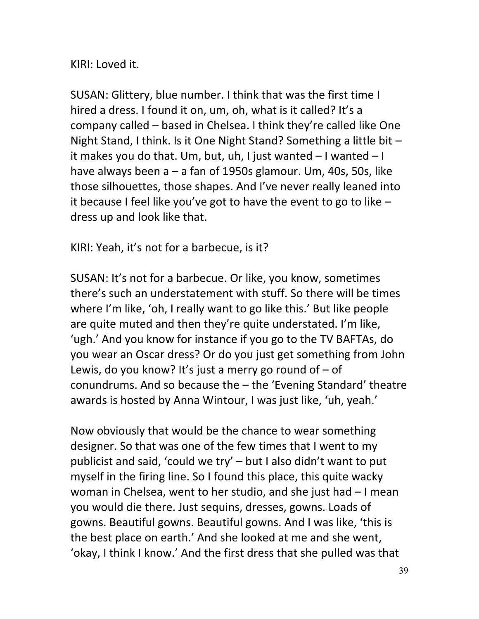KIRI: Loved it.

SUSAN: Glittery, blue number. I think that was the first time I hired a dress. I found it on, um, oh, what is it called? It's a company called – based in Chelsea. I think they're called like One Night Stand, I think. Is it One Night Stand? Something a little bit – it makes you do that. Um, but, uh, I just wanted – I wanted – I have always been a – a fan of 1950s glamour. Um, 40s, 50s, like those silhouettes, those shapes. And I've never really leaned into it because I feel like you've got to have the event to go to like – dress up and look like that.

KIRI: Yeah, it's not for a barbecue, is it?

SUSAN: It's not for a barbecue. Or like, you know, sometimes there's such an understatement with stuff. So there will be times where I'm like, 'oh, I really want to go like this.' But like people are quite muted and then they're quite understated. I'm like, 'ugh.' And you know for instance if you go to the TV BAFTAs, do you wear an Oscar dress? Or do you just get something from John Lewis, do you know? It's just a merry go round of  $-$  of conundrums. And so because the – the 'Evening Standard' theatre awards is hosted by Anna Wintour, I was just like, 'uh, yeah.'

Now obviously that would be the chance to wear something designer. So that was one of the few times that I went to my publicist and said, 'could we try' – but I also didn't want to put myself in the firing line. So I found this place, this quite wacky woman in Chelsea, went to her studio, and she just had – I mean you would die there. Just sequins, dresses, gowns. Loads of gowns. Beautiful gowns. Beautiful gowns. And I was like, 'this is the best place on earth.' And she looked at me and she went, 'okay, I think I know.' And the first dress that she pulled was that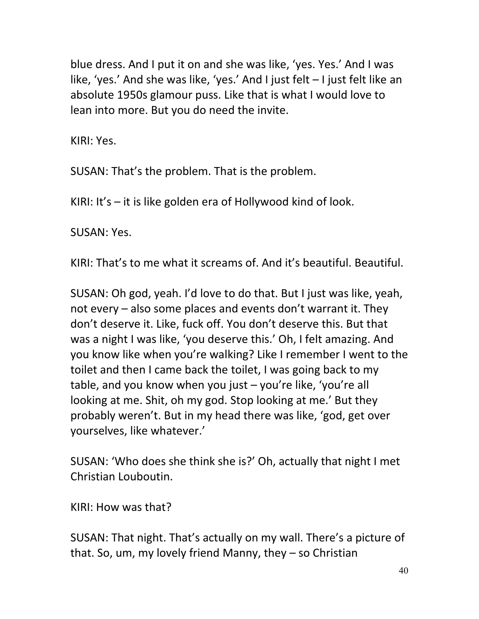blue dress. And I put it on and she was like, 'yes. Yes.' And I was like, 'yes.' And she was like, 'yes.' And I just felt – I just felt like an absolute 1950s glamour puss. Like that is what I would love to lean into more. But you do need the invite.

KIRI: Yes.

SUSAN: That's the problem. That is the problem.

KIRI: It's – it is like golden era of Hollywood kind of look.

SUSAN: Yes.

KIRI: That's to me what it screams of. And it's beautiful. Beautiful.

SUSAN: Oh god, yeah. I'd love to do that. But I just was like, yeah, not every – also some places and events don't warrant it. They don't deserve it. Like, fuck off. You don't deserve this. But that was a night I was like, 'you deserve this.' Oh, I felt amazing. And you know like when you're walking? Like I remember I went to the toilet and then I came back the toilet, I was going back to my table, and you know when you just – you're like, 'you're all looking at me. Shit, oh my god. Stop looking at me.' But they probably weren't. But in my head there was like, 'god, get over yourselves, like whatever.'

SUSAN: 'Who does she think she is?' Oh, actually that night I met Christian Louboutin.

KIRI: How was that?

SUSAN: That night. That's actually on my wall. There's a picture of that. So, um, my lovely friend Manny, they – so Christian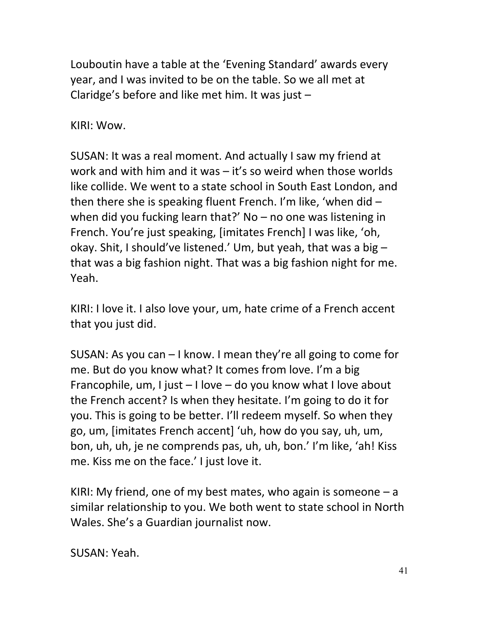Louboutin have a table at the 'Evening Standard' awards every year, and I was invited to be on the table. So we all met at Claridge's before and like met him. It was just –

KIRI: Wow.

SUSAN: It was a real moment. And actually I saw my friend at work and with him and it was – it's so weird when those worlds like collide. We went to a state school in South East London, and then there she is speaking fluent French. I'm like, 'when did – when did you fucking learn that?' No – no one was listening in French. You're just speaking, [imitates French] I was like, 'oh, okay. Shit, I should've listened.' Um, but yeah, that was a big – that was a big fashion night. That was a big fashion night for me. Yeah.

KIRI: I love it. I also love your, um, hate crime of a French accent that you just did.

SUSAN: As you can – I know. I mean they're all going to come for me. But do you know what? It comes from love. I'm a big Francophile, um, I just – I love – do you know what I love about the French accent? Is when they hesitate. I'm going to do it for you. This is going to be better. I'll redeem myself. So when they go, um, [imitates French accent] 'uh, how do you say, uh, um, bon, uh, uh, je ne comprends pas, uh, uh, bon.' I'm like, 'ah! Kiss me. Kiss me on the face.' I just love it.

KIRI: My friend, one of my best mates, who again is someone  $- a$ similar relationship to you. We both went to state school in North Wales. She's a Guardian journalist now.

SUSAN: Yeah.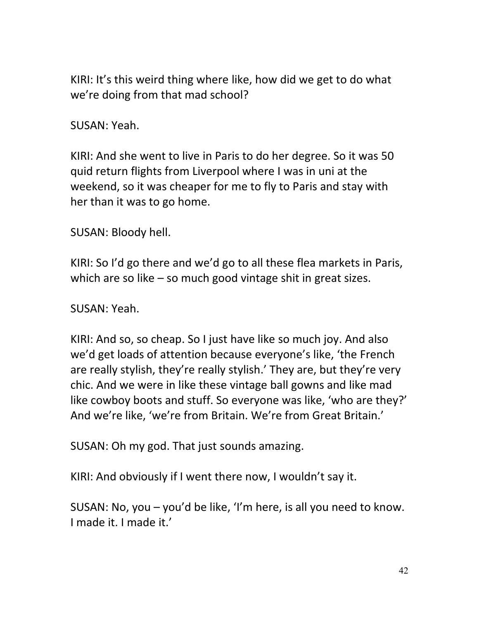KIRI: It's this weird thing where like, how did we get to do what we're doing from that mad school?

SUSAN: Yeah.

KIRI: And she went to live in Paris to do her degree. So it was 50 quid return flights from Liverpool where I was in uni at the weekend, so it was cheaper for me to fly to Paris and stay with her than it was to go home.

SUSAN: Bloody hell.

KIRI: So I'd go there and we'd go to all these flea markets in Paris, which are so like – so much good vintage shit in great sizes.

SUSAN: Yeah.

KIRI: And so, so cheap. So I just have like so much joy. And also we'd get loads of attention because everyone's like, 'the French are really stylish, they're really stylish.' They are, but they're very chic. And we were in like these vintage ball gowns and like mad like cowboy boots and stuff. So everyone was like, 'who are they?' And we're like, 'we're from Britain. We're from Great Britain.'

SUSAN: Oh my god. That just sounds amazing.

KIRI: And obviously if I went there now, I wouldn't say it.

SUSAN: No, you – you'd be like, 'I'm here, is all you need to know. I made it. I made it.'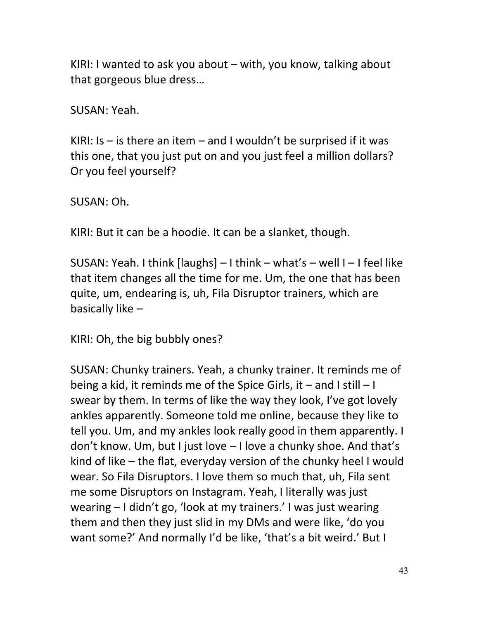KIRI: I wanted to ask you about – with, you know, talking about that gorgeous blue dress…

SUSAN: Yeah.

KIRI: Is  $-$  is there an item  $-$  and I wouldn't be surprised if it was this one, that you just put on and you just feel a million dollars? Or you feel yourself?

SUSAN: Oh.

KIRI: But it can be a hoodie. It can be a slanket, though.

SUSAN: Yeah. I think [laughs] – I think – what's – well I – I feel like that item changes all the time for me. Um, the one that has been quite, um, endearing is, uh, Fila Disruptor trainers, which are basically like –

KIRI: Oh, the big bubbly ones?

SUSAN: Chunky trainers. Yeah, a chunky trainer. It reminds me of being a kid, it reminds me of the Spice Girls, it – and I still – I swear by them. In terms of like the way they look, I've got lovely ankles apparently. Someone told me online, because they like to tell you. Um, and my ankles look really good in them apparently. I don't know. Um, but I just love – I love a chunky shoe. And that's kind of like – the flat, everyday version of the chunky heel I would wear. So Fila Disruptors. I love them so much that, uh, Fila sent me some Disruptors on Instagram. Yeah, I literally was just wearing – I didn't go, 'look at my trainers.' I was just wearing them and then they just slid in my DMs and were like, 'do you want some?' And normally I'd be like, 'that's a bit weird.' But I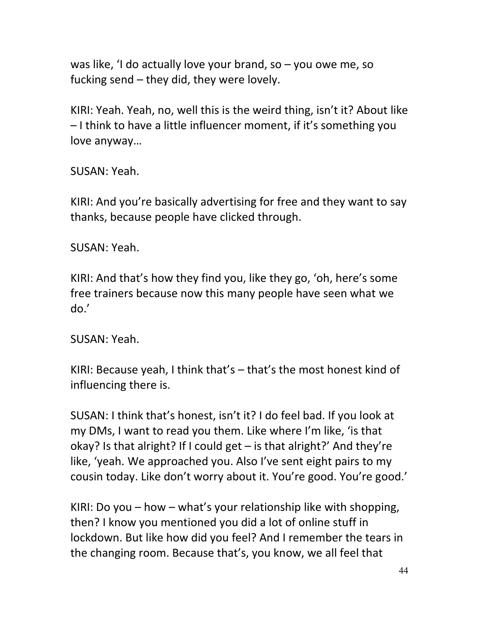was like, 'I do actually love your brand, so – you owe me, so fucking send – they did, they were lovely.

KIRI: Yeah. Yeah, no, well this is the weird thing, isn't it? About like – I think to have a little influencer moment, if it's something you love anyway…

SUSAN: Yeah.

KIRI: And you're basically advertising for free and they want to say thanks, because people have clicked through.

SUSAN: Yeah.

KIRI: And that's how they find you, like they go, 'oh, here's some free trainers because now this many people have seen what we do.'

SUSAN: Yeah.

KIRI: Because yeah, I think that's – that's the most honest kind of influencing there is.

SUSAN: I think that's honest, isn't it? I do feel bad. If you look at my DMs, I want to read you them. Like where I'm like, 'is that okay? Is that alright? If I could get – is that alright?' And they're like, 'yeah. We approached you. Also I've sent eight pairs to my cousin today. Like don't worry about it. You're good. You're good.'

KIRI: Do you – how – what's your relationship like with shopping, then? I know you mentioned you did a lot of online stuff in lockdown. But like how did you feel? And I remember the tears in the changing room. Because that's, you know, we all feel that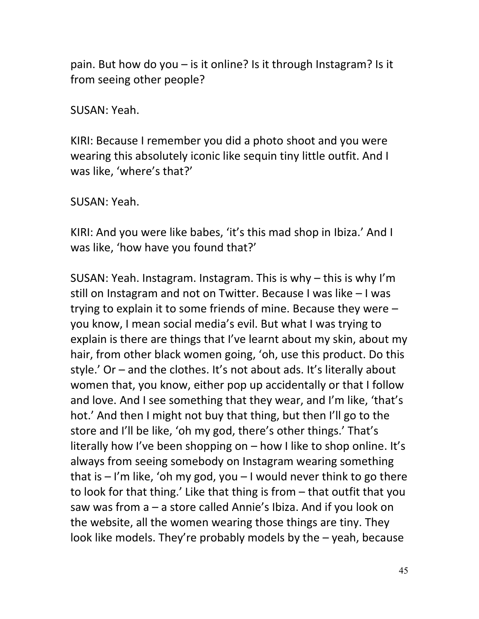pain. But how do you – is it online? Is it through Instagram? Is it from seeing other people?

SUSAN: Yeah.

KIRI: Because I remember you did a photo shoot and you were wearing this absolutely iconic like sequin tiny little outfit. And I was like, 'where's that?'

SUSAN: Yeah.

KIRI: And you were like babes, 'it's this mad shop in Ibiza.' And I was like, 'how have you found that?'

SUSAN: Yeah. Instagram. Instagram. This is why – this is why I'm still on Instagram and not on Twitter. Because I was like – I was trying to explain it to some friends of mine. Because they were – you know, I mean social media's evil. But what I was trying to explain is there are things that I've learnt about my skin, about my hair, from other black women going, 'oh, use this product. Do this style.' Or – and the clothes. It's not about ads. It's literally about women that, you know, either pop up accidentally or that I follow and love. And I see something that they wear, and I'm like, 'that's hot.' And then I might not buy that thing, but then I'll go to the store and I'll be like, 'oh my god, there's other things.' That's literally how I've been shopping on – how I like to shop online. It's always from seeing somebody on Instagram wearing something that is  $-1$ 'm like, 'oh my god, you  $-1$  would never think to go there to look for that thing.' Like that thing is from – that outfit that you saw was from a – a store called Annie's Ibiza. And if you look on the website, all the women wearing those things are tiny. They look like models. They're probably models by the – yeah, because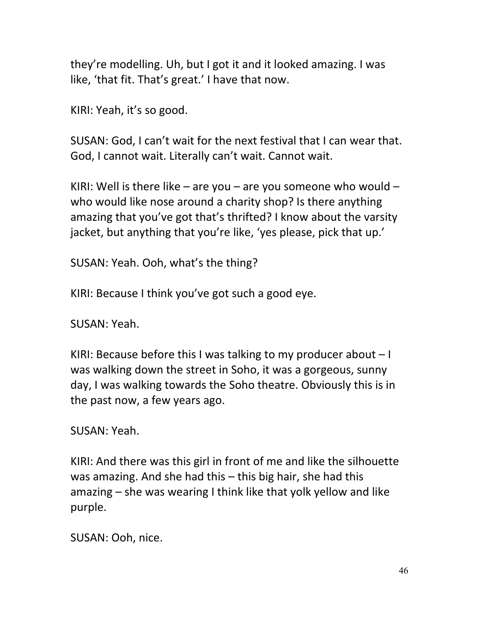they're modelling. Uh, but I got it and it looked amazing. I was like, 'that fit. That's great.' I have that now.

KIRI: Yeah, it's so good.

SUSAN: God, I can't wait for the next festival that I can wear that. God, I cannot wait. Literally can't wait. Cannot wait.

KIRI: Well is there like – are you – are you someone who would – who would like nose around a charity shop? Is there anything amazing that you've got that's thrifted? I know about the varsity jacket, but anything that you're like, 'yes please, pick that up.'

SUSAN: Yeah. Ooh, what's the thing?

KIRI: Because I think you've got such a good eye.

SUSAN: Yeah.

KIRI: Because before this I was talking to my producer about  $-1$ was walking down the street in Soho, it was a gorgeous, sunny day, I was walking towards the Soho theatre. Obviously this is in the past now, a few years ago.

SUSAN: Yeah.

KIRI: And there was this girl in front of me and like the silhouette was amazing. And she had this – this big hair, she had this amazing – she was wearing I think like that yolk yellow and like purple.

SUSAN: Ooh, nice.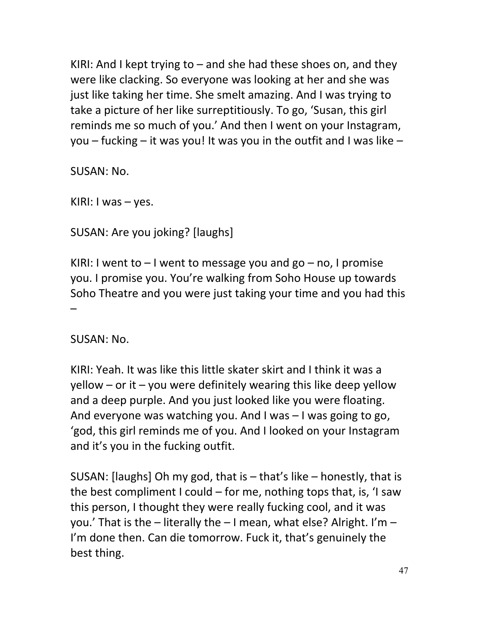KIRI: And I kept trying to  $-$  and she had these shoes on, and they were like clacking. So everyone was looking at her and she was just like taking her time. She smelt amazing. And I was trying to take a picture of her like surreptitiously. To go, 'Susan, this girl reminds me so much of you.' And then I went on your Instagram, you – fucking – it was you! It was you in the outfit and I was like –

SUSAN: No.

KIRI: I was – yes.

SUSAN: Are you joking? [laughs]

KIRI: I went to  $-1$  went to message you and go  $-$  no, I promise you. I promise you. You're walking from Soho House up towards Soho Theatre and you were just taking your time and you had this –

SUSAN: No.

KIRI: Yeah. It was like this little skater skirt and I think it was a  $y$ ellow – or it – you were definitely wearing this like deep yellow and a deep purple. And you just looked like you were floating. And everyone was watching you. And I was – I was going to go, 'god, this girl reminds me of you. And I looked on your Instagram and it's you in the fucking outfit.

SUSAN: [laughs] Oh my god, that is – that's like – honestly, that is the best compliment I could – for me, nothing tops that, is, 'I saw this person, I thought they were really fucking cool, and it was you.' That is the – literally the – I mean, what else? Alright. I'm – I'm done then. Can die tomorrow. Fuck it, that's genuinely the best thing.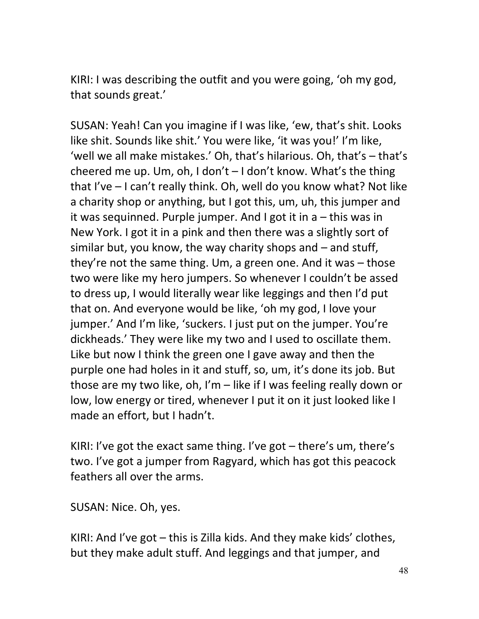KIRI: I was describing the outfit and you were going, 'oh my god, that sounds great.'

SUSAN: Yeah! Can you imagine if I was like, 'ew, that's shit. Looks like shit. Sounds like shit.' You were like, 'it was you!' I'm like, 'well we all make mistakes.' Oh, that's hilarious. Oh, that's – that's cheered me up. Um, oh, I don't  $-1$  don't know. What's the thing that I've – I can't really think. Oh, well do you know what? Not like a charity shop or anything, but I got this, um, uh, this jumper and it was sequinned. Purple jumper. And I got it in a – this was in New York. I got it in a pink and then there was a slightly sort of similar but, you know, the way charity shops and – and stuff, they're not the same thing. Um, a green one. And it was – those two were like my hero jumpers. So whenever I couldn't be assed to dress up, I would literally wear like leggings and then I'd put that on. And everyone would be like, 'oh my god, I love your jumper.' And I'm like, 'suckers. I just put on the jumper. You're dickheads.' They were like my two and I used to oscillate them. Like but now I think the green one I gave away and then the purple one had holes in it and stuff, so, um, it's done its job. But those are my two like, oh, I'm – like if I was feeling really down or low, low energy or tired, whenever I put it on it just looked like I made an effort, but I hadn't.

KIRI: I've got the exact same thing. I've got – there's um, there's two. I've got a jumper from Ragyard, which has got this peacock feathers all over the arms.

SUSAN: Nice. Oh, yes.

KIRI: And I've got – this is Zilla kids. And they make kids' clothes, but they make adult stuff. And leggings and that jumper, and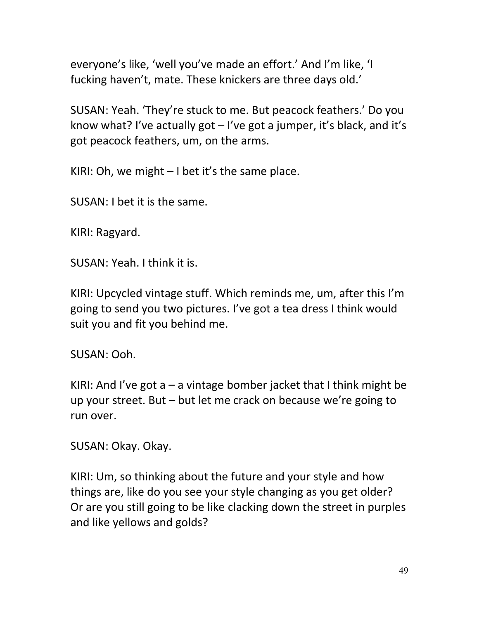everyone's like, 'well you've made an effort.' And I'm like, 'I fucking haven't, mate. These knickers are three days old.'

SUSAN: Yeah. 'They're stuck to me. But peacock feathers.' Do you know what? I've actually got – I've got a jumper, it's black, and it's got peacock feathers, um, on the arms.

KIRI: Oh, we might  $-1$  bet it's the same place.

SUSAN: I bet it is the same.

KIRI: Ragyard.

SUSAN: Yeah. I think it is.

KIRI: Upcycled vintage stuff. Which reminds me, um, after this I'm going to send you two pictures. I've got a tea dress I think would suit you and fit you behind me.

SUSAN: Ooh.

KIRI: And I've got  $a - a$  vintage bomber jacket that I think might be up your street. But – but let me crack on because we're going to run over.

SUSAN: Okay. Okay.

KIRI: Um, so thinking about the future and your style and how things are, like do you see your style changing as you get older? Or are you still going to be like clacking down the street in purples and like yellows and golds?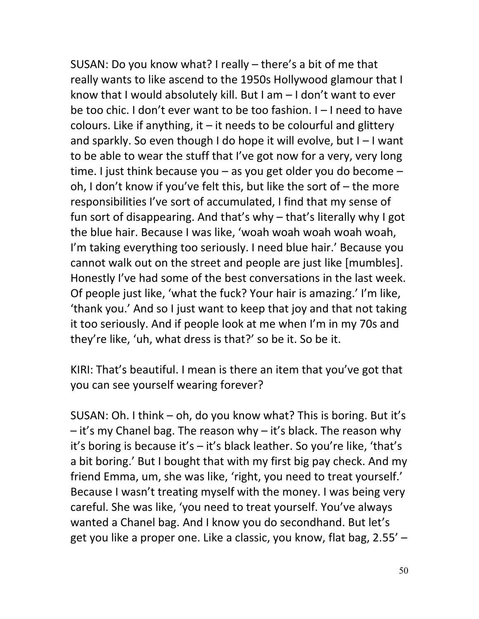SUSAN: Do you know what? I really – there's a bit of me that really wants to like ascend to the 1950s Hollywood glamour that I know that I would absolutely kill. But I am – I don't want to ever be too chic. I don't ever want to be too fashion. I – I need to have colours. Like if anything, it  $-$  it needs to be colourful and glittery and sparkly. So even though I do hope it will evolve, but I – I want to be able to wear the stuff that I've got now for a very, very long time. I just think because you – as you get older you do become – oh, I don't know if you've felt this, but like the sort of – the more responsibilities I've sort of accumulated, I find that my sense of fun sort of disappearing. And that's why – that's literally why I got the blue hair. Because I was like, 'woah woah woah woah woah, I'm taking everything too seriously. I need blue hair.' Because you cannot walk out on the street and people are just like [mumbles]. Honestly I've had some of the best conversations in the last week. Of people just like, 'what the fuck? Your hair is amazing.' I'm like, 'thank you.' And so I just want to keep that joy and that not taking it too seriously. And if people look at me when I'm in my 70s and they're like, 'uh, what dress is that?' so be it. So be it.

KIRI: That's beautiful. I mean is there an item that you've got that you can see yourself wearing forever?

SUSAN: Oh. I think – oh, do you know what? This is boring. But it's – it's my Chanel bag. The reason why – it's black. The reason why it's boring is because it's – it's black leather. So you're like, 'that's a bit boring.' But I bought that with my first big pay check. And my friend Emma, um, she was like, 'right, you need to treat yourself.' Because I wasn't treating myself with the money. I was being very careful. She was like, 'you need to treat yourself. You've always wanted a Chanel bag. And I know you do secondhand. But let's get you like a proper one. Like a classic, you know, flat bag, 2.55' –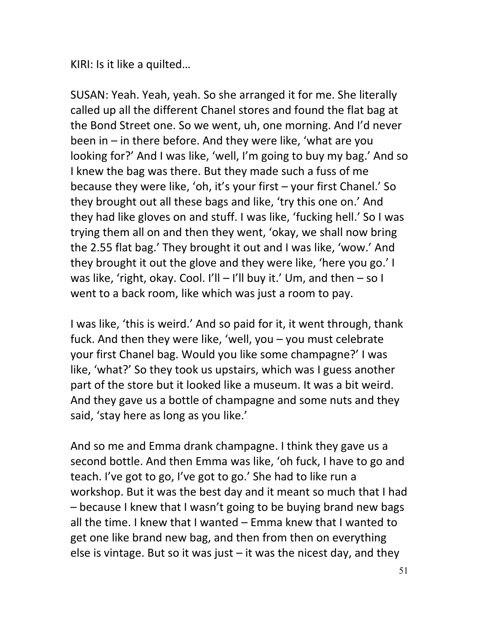KIRI: Is it like a quilted…

SUSAN: Yeah. Yeah, yeah. So she arranged it for me. She literally called up all the different Chanel stores and found the flat bag at the Bond Street one. So we went, uh, one morning. And I'd never been in – in there before. And they were like, 'what are you looking for?' And I was like, 'well, I'm going to buy my bag.' And so I knew the bag was there. But they made such a fuss of me because they were like, 'oh, it's your first – your first Chanel.' So they brought out all these bags and like, 'try this one on.' And they had like gloves on and stuff. I was like, 'fucking hell.' So I was trying them all on and then they went, 'okay, we shall now bring the 2.55 flat bag.' They brought it out and I was like, 'wow.' And they brought it out the glove and they were like, 'here you go.' I was like, 'right, okay. Cool. I'll – I'll buy it.' Um, and then – so I went to a back room, like which was just a room to pay.

I was like, 'this is weird.' And so paid for it, it went through, thank fuck. And then they were like, 'well, you – you must celebrate your first Chanel bag. Would you like some champagne?' I was like, 'what?' So they took us upstairs, which was I guess another part of the store but it looked like a museum. It was a bit weird. And they gave us a bottle of champagne and some nuts and they said, 'stay here as long as you like.'

And so me and Emma drank champagne. I think they gave us a second bottle. And then Emma was like, 'oh fuck, I have to go and teach. I've got to go, I've got to go.' She had to like run a workshop. But it was the best day and it meant so much that I had – because I knew that I wasn't going to be buying brand new bags all the time. I knew that I wanted – Emma knew that I wanted to get one like brand new bag, and then from then on everything else is vintage. But so it was just  $-$  it was the nicest day, and they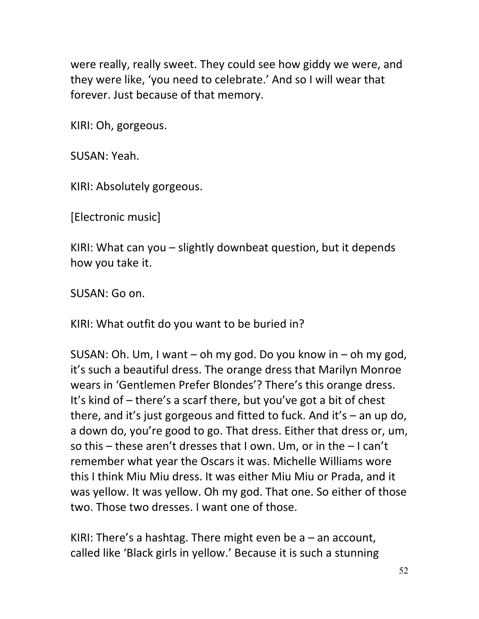were really, really sweet. They could see how giddy we were, and they were like, 'you need to celebrate.' And so I will wear that forever. Just because of that memory.

KIRI: Oh, gorgeous.

SUSAN: Yeah.

KIRI: Absolutely gorgeous.

[Electronic music]

KIRI: What can you – slightly downbeat question, but it depends how you take it.

SUSAN: Go on.

KIRI: What outfit do you want to be buried in?

SUSAN: Oh. Um, I want – oh my god. Do you know in – oh my god, it's such a beautiful dress. The orange dress that Marilyn Monroe wears in 'Gentlemen Prefer Blondes'? There's this orange dress. It's kind of – there's a scarf there, but you've got a bit of chest there, and it's just gorgeous and fitted to fuck. And it's – an up do, a down do, you're good to go. That dress. Either that dress or, um, so this – these aren't dresses that I own. Um, or in the – I can't remember what year the Oscars it was. Michelle Williams wore this I think Miu Miu dress. It was either Miu Miu or Prada, and it was yellow. It was yellow. Oh my god. That one. So either of those two. Those two dresses. I want one of those.

KIRI: There's a hashtag. There might even be  $a$  – an account, called like 'Black girls in yellow.' Because it is such a stunning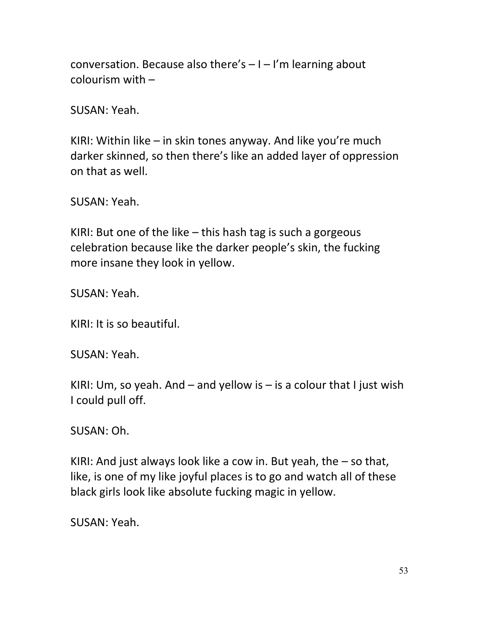conversation. Because also there's  $-1$  – I'm learning about colourism with –

SUSAN: Yeah.

KIRI: Within like – in skin tones anyway. And like you're much darker skinned, so then there's like an added layer of oppression on that as well.

SUSAN: Yeah.

KIRI: But one of the like – this hash tag is such a gorgeous celebration because like the darker people's skin, the fucking more insane they look in yellow.

SUSAN: Yeah.

KIRI: It is so beautiful.

SUSAN: Yeah.

KIRI: Um, so yeah. And  $-$  and yellow is  $-$  is a colour that I just wish I could pull off.

SUSAN: Oh.

KIRI: And just always look like a cow in. But yeah, the – so that, like, is one of my like joyful places is to go and watch all of these black girls look like absolute fucking magic in yellow.

SUSAN: Yeah.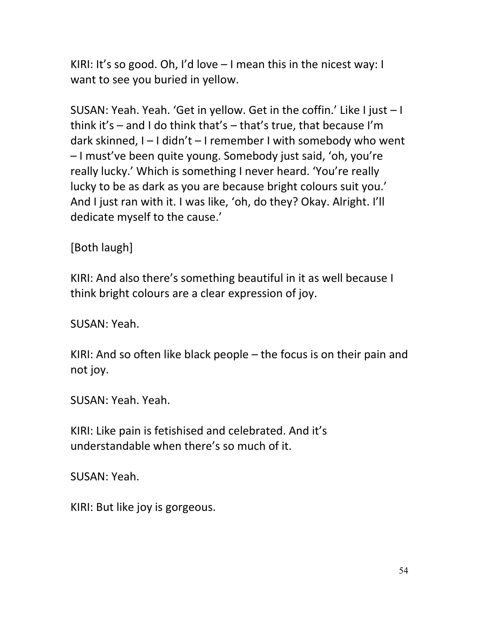KIRI: It's so good. Oh, I'd love  $-1$  mean this in the nicest way: I want to see you buried in yellow.

SUSAN: Yeah. Yeah. 'Get in yellow. Get in the coffin.' Like I just – I think it's  $-$  and I do think that's  $-$  that's true, that because I'm dark skinned, I – I didn't – I remember I with somebody who went – I must've been quite young. Somebody just said, 'oh, you're really lucky.' Which is something I never heard. 'You're really lucky to be as dark as you are because bright colours suit you.' And I just ran with it. I was like, 'oh, do they? Okay. Alright. I'll dedicate myself to the cause.'

[Both laugh]

KIRI: And also there's something beautiful in it as well because I think bright colours are a clear expression of joy.

SUSAN: Yeah.

KIRI: And so often like black people – the focus is on their pain and not joy.

SUSAN: Yeah. Yeah.

KIRI: Like pain is fetishised and celebrated. And it's understandable when there's so much of it.

SUSAN: Yeah.

KIRI: But like joy is gorgeous.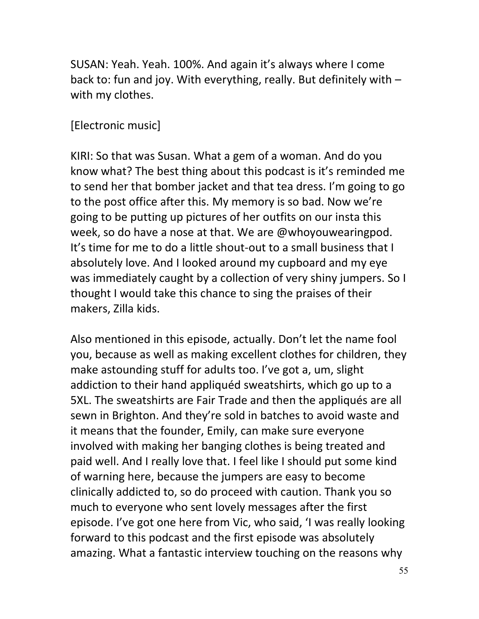SUSAN: Yeah. Yeah. 100%. And again it's always where I come back to: fun and joy. With everything, really. But definitely with – with my clothes.

#### [Electronic music]

KIRI: So that was Susan. What a gem of a woman. And do you know what? The best thing about this podcast is it's reminded me to send her that bomber jacket and that tea dress. I'm going to go to the post office after this. My memory is so bad. Now we're going to be putting up pictures of her outfits on our insta this week, so do have a nose at that. We are @whoyouwearingpod. It's time for me to do a little shout-out to a small business that I absolutely love. And I looked around my cupboard and my eye was immediately caught by a collection of very shiny jumpers. So I thought I would take this chance to sing the praises of their makers, Zilla kids.

Also mentioned in this episode, actually. Don't let the name fool you, because as well as making excellent clothes for children, they make astounding stuff for adults too. I've got a, um, slight addiction to their hand appliquéd sweatshirts, which go up to a 5XL. The sweatshirts are Fair Trade and then the appliqués are all sewn in Brighton. And they're sold in batches to avoid waste and it means that the founder, Emily, can make sure everyone involved with making her banging clothes is being treated and paid well. And I really love that. I feel like I should put some kind of warning here, because the jumpers are easy to become clinically addicted to, so do proceed with caution. Thank you so much to everyone who sent lovely messages after the first episode. I've got one here from Vic, who said, 'I was really looking forward to this podcast and the first episode was absolutely amazing. What a fantastic interview touching on the reasons why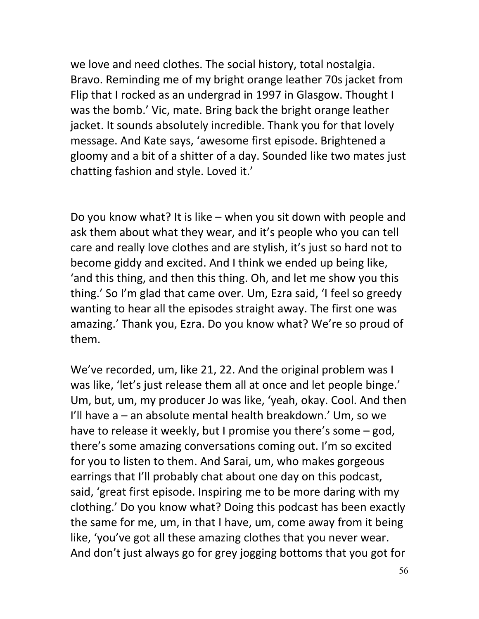we love and need clothes. The social history, total nostalgia. Bravo. Reminding me of my bright orange leather 70s jacket from Flip that I rocked as an undergrad in 1997 in Glasgow. Thought I was the bomb.' Vic, mate. Bring back the bright orange leather jacket. It sounds absolutely incredible. Thank you for that lovely message. And Kate says, 'awesome first episode. Brightened a gloomy and a bit of a shitter of a day. Sounded like two mates just chatting fashion and style. Loved it.'

Do you know what? It is like – when you sit down with people and ask them about what they wear, and it's people who you can tell care and really love clothes and are stylish, it's just so hard not to become giddy and excited. And I think we ended up being like, 'and this thing, and then this thing. Oh, and let me show you this thing.' So I'm glad that came over. Um, Ezra said, 'I feel so greedy wanting to hear all the episodes straight away. The first one was amazing.' Thank you, Ezra. Do you know what? We're so proud of them.

We've recorded, um, like 21, 22. And the original problem was I was like, 'let's just release them all at once and let people binge.' Um, but, um, my producer Jo was like, 'yeah, okay. Cool. And then I'll have a – an absolute mental health breakdown.' Um, so we have to release it weekly, but I promise you there's some – god, there's some amazing conversations coming out. I'm so excited for you to listen to them. And Sarai, um, who makes gorgeous earrings that I'll probably chat about one day on this podcast, said, 'great first episode. Inspiring me to be more daring with my clothing.' Do you know what? Doing this podcast has been exactly the same for me, um, in that I have, um, come away from it being like, 'you've got all these amazing clothes that you never wear. And don't just always go for grey jogging bottoms that you got for